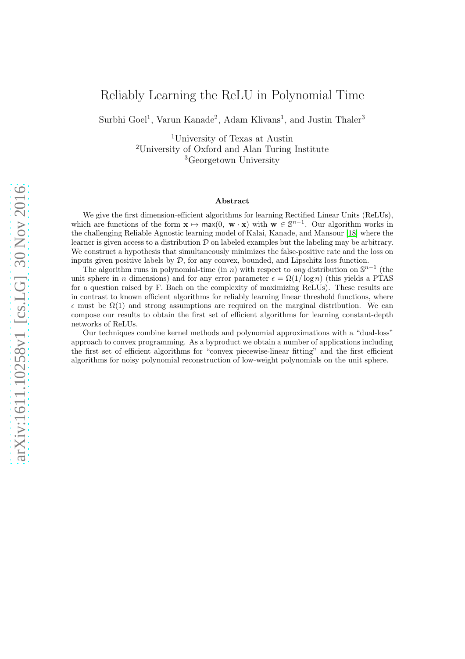# Reliably Learning the ReLU in Polynomial Time

Surbhi Goel<sup>1</sup>, Varun Kanade<sup>2</sup>, Adam Klivans<sup>1</sup>, and Justin Thaler<sup>3</sup>

<sup>1</sup>University of Texas at Austin <sup>2</sup>University of Oxford and Alan Turing Institute <sup>3</sup>Georgetown University

#### Abstract

We give the first dimension-efficient algorithms for learning Rectified Linear Units (ReLUs), which are functions of the form  $\mathbf{x} \mapsto \max(0, \mathbf{w} \cdot \mathbf{x})$  with  $\mathbf{w} \in \mathbb{S}^{n-1}$ . Our algorithm works in the challenging Reliable Agnostic learning model of Kalai, Kanade, and Mansour [\[18\]](#page-30-0) where the learner is given access to a distribution  $D$  on labeled examples but the labeling may be arbitrary. We construct a hypothesis that simultaneously minimizes the false-positive rate and the loss on inputs given positive labels by  $\mathcal{D}$ , for any convex, bounded, and Lipschitz loss function.

The algorithm runs in polynomial-time (in n) with respect to any distribution on  $\mathbb{S}^{n-1}$  (the unit sphere in n dimensions) and for any error parameter  $\epsilon = \Omega(1/\log n)$  (this yields a PTAS for a question raised by F. Bach on the complexity of maximizing ReLUs). These results are in contrast to known efficient algorithms for reliably learning linear threshold functions, where  $\epsilon$  must be  $\Omega(1)$  and strong assumptions are required on the marginal distribution. We can compose our results to obtain the first set of efficient algorithms for learning constant-depth networks of ReLUs.

Our techniques combine kernel methods and polynomial approximations with a "dual-loss" approach to convex programming. As a byproduct we obtain a number of applications including the first set of efficient algorithms for "convex piecewise-linear fitting" and the first efficient algorithms for noisy polynomial reconstruction of low-weight polynomials on the unit sphere.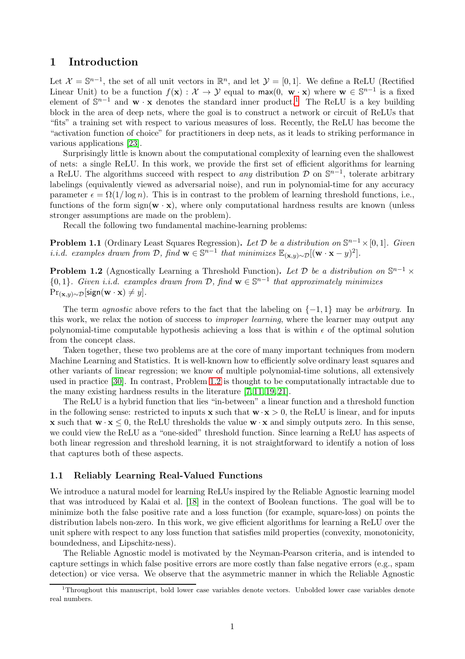## <span id="page-1-1"></span>1 Introduction

Let  $\mathcal{X} = \mathbb{S}^{n-1}$ , the set of all unit vectors in  $\mathbb{R}^n$ , and let  $\mathcal{Y} = [0,1]$ . We define a ReLU (Rectified Linear Unit) to be a function  $f(\mathbf{x}) : \mathcal{X} \to \mathcal{Y}$  equal to  $\max(0, \mathbf{w} \cdot \mathbf{x})$  where  $\mathbf{w} \in \mathbb{S}^{n-1}$  is a fixed element of  $\mathbb{S}^{n-1}$  and  $\mathbf{w} \cdot \mathbf{x}$  denotes the standard inner product.<sup>1</sup> The ReLU is a key building block in the area of deep nets, where the goal is to construct a network or circuit of ReLUs that "fits" a training set with respect to various measures of loss. Recently, the ReLU has become the "activation function of choice" for practitioners in deep nets, as it leads to striking performance in various applications [\[23\]](#page-30-1).

Surprisingly little is known about the computational complexity of learning even the shallowest of nets: a single ReLU. In this work, we provide the first set of efficient algorithms for learning a ReLU. The algorithms succeed with respect to *any* distribution  $\mathcal{D}$  on  $\mathbb{S}^{n-1}$ , tolerate arbitrary labelings (equivalently viewed as adversarial noise), and run in polynomial-time for any accuracy parameter  $\epsilon = \Omega(1/\log n)$ . This is in contrast to the problem of learning threshold functions, i.e., functions of the form sign( $\mathbf{w} \cdot \mathbf{x}$ ), where only computational hardness results are known (unless stronger assumptions are made on the problem).

Recall the following two fundamental machine-learning problems:

**Problem 1.1** (Ordinary Least Squares Regression). Let  $\mathcal{D}$  be a distribution on  $\mathbb{S}^{n-1}\times[0,1]$ . Given *i.i.d.* examples drawn from  $D$ , find  $\mathbf{w} \in \mathbb{S}^{n-1}$  that minimizes  $\mathbb{E}_{(\mathbf{x},y)\sim\mathcal{D}}[(\mathbf{w}\cdot\mathbf{x}-y)^2]$ .

<span id="page-1-0"></span>**Problem 1.2** (Agnostically Learning a Threshold Function). Let  $\mathcal{D}$  be a distribution on  $\mathbb{S}^{n-1} \times$  ${0,1}$ . Given i.i.d. examples drawn from D, find  $\mathbf{w} \in \mathbb{S}^{n-1}$  that approximately minimizes  $Pr_{(\mathbf{x}, y) \sim \mathcal{D}}[\text{sign}(\mathbf{w} \cdot \mathbf{x}) \neq y].$ 

The term *agnostic* above refers to the fact that the labeling on  $\{-1, 1\}$  may be *arbitrary*. In this work, we relax the notion of success to *improper learning*, where the learner may output any polynomial-time computable hypothesis achieving a loss that is within  $\epsilon$  of the optimal solution from the concept class.

Taken together, these two problems are at the core of many important techniques from modern Machine Learning and Statistics. It is well-known how to efficiently solve ordinary least squares and other variants of linear regression; we know of multiple polynomial-time solutions, all extensively used in practice [\[30\]](#page-30-2). In contrast, Problem [1.2](#page-1-0) is thought to be computationally intractable due to the many existing hardness results in the literature [\[7,](#page-29-0) [11,](#page-29-1) [19,](#page-30-3) [21\]](#page-30-4).

The ReLU is a hybrid function that lies "in-between" a linear function and a threshold function in the following sense: restricted to inputs  $\mathbf x$  such that  $\mathbf w \cdot \mathbf x > 0$ , the ReLU is linear, and for inputs **x** such that  $\mathbf{w} \cdot \mathbf{x} \leq 0$ , the ReLU thresholds the value  $\mathbf{w} \cdot \mathbf{x}$  and simply outputs zero. In this sense, we could view the ReLU as a "one-sided" threshold function. Since learning a ReLU has aspects of both linear regression and threshold learning, it is not straightforward to identify a notion of loss that captures both of these aspects.

### 1.1 Reliably Learning Real-Valued Functions

We introduce a natural model for learning ReLUs inspired by the Reliable Agnostic learning model that was introduced by Kalai et al. [\[18\]](#page-30-0) in the context of Boolean functions. The goal will be to minimize both the false positive rate and a loss function (for example, square-loss) on points the distribution labels non-zero. In this work, we give efficient algorithms for learning a ReLU over the unit sphere with respect to any loss function that satisfies mild properties (convexity, monotonicity, boundedness, and Lipschitz-ness).

The Reliable Agnostic model is motivated by the Neyman-Pearson criteria, and is intended to capture settings in which false positive errors are more costly than false negative errors (e.g., spam detection) or vice versa. We observe that the asymmetric manner in which the Reliable Agnostic

<sup>&</sup>lt;sup>1</sup>Throughout this manuscript, bold lower case variables denote vectors. Unbolded lower case variables denote real numbers.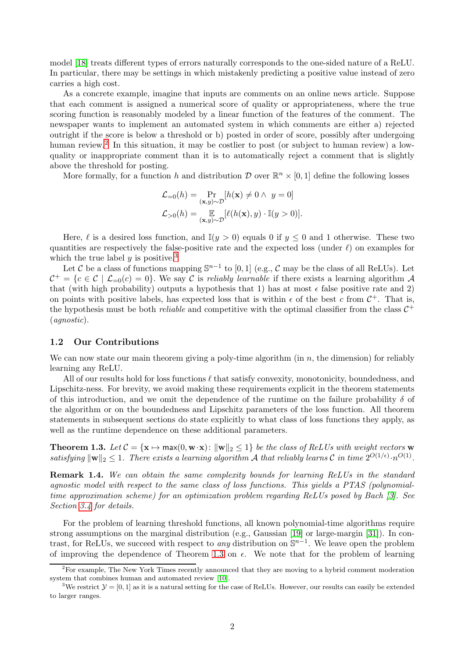model [\[18\]](#page-30-0) treats different types of errors naturally corresponds to the one-sided nature of a ReLU. In particular, there may be settings in which mistakenly predicting a positive value instead of zero carries a high cost.

As a concrete example, imagine that inputs are comments on an online news article. Suppose that each comment is assigned a numerical score of quality or appropriateness, where the true scoring function is reasonably modeled by a linear function of the features of the comment. The newspaper wants to implement an automated system in which comments are either a) rejected outright if the score is below a threshold or b) posted in order of score, possibly after undergoing human review.<sup>2</sup> In this situation, it may be costlier to post (or subject to human review) a lowquality or inappropriate comment than it is to automatically reject a comment that is slightly above the threshold for posting.

More formally, for a function h and distribution  $\mathcal D$  over  $\mathbb R^n\times [0,1]$  define the following losses

$$
\mathcal{L}_{=0}(h) = \Pr_{(\mathbf{x}, y) \sim \mathcal{D}}[h(\mathbf{x}) \neq 0 \land y = 0]
$$
  

$$
\mathcal{L}_{>0}(h) = \mathop{\mathbb{E}}_{(\mathbf{x}, y) \sim \mathcal{D}}[\ell(h(\mathbf{x}), y) \cdot \mathbb{I}(y > 0)].
$$

Here,  $\ell$  is a desired loss function, and  $\mathbb{I}(y > 0)$  equals 0 if  $y \le 0$  and 1 otherwise. These two quantities are respectively the false-positive rate and the expected loss (under  $\ell$ ) on examples for which the true label  $y$  is positive.<sup>3</sup>

Let C be a class of functions mapping  $\mathbb{S}^{n-1}$  to [0, 1] (e.g., C may be the class of all ReLUs). Let  $C^+ = \{c \in C \mid L_{=0}(c) = 0\}$ . We say C is reliably learnable if there exists a learning algorithm A that (with high probability) outputs a hypothesis that 1) has at most  $\epsilon$  false positive rate and 2) on points with positive labels, has expected loss that is within  $\epsilon$  of the best c from  $\mathcal{C}^+$ . That is, the hypothesis must be both *reliable* and competitive with the optimal classifier from the class  $C^+$ (agnostic).

#### <span id="page-2-1"></span>1.2 Our Contributions

We can now state our main theorem giving a poly-time algorithm (in  $n$ , the dimension) for reliably learning any ReLU.

All of our results hold for loss functions  $\ell$  that satisfy convexity, monotonicity, boundedness, and Lipschitz-ness. For brevity, we avoid making these requirements explicit in the theorem statements of this introduction, and we omit the dependence of the runtime on the failure probability  $\delta$  of the algorithm or on the boundedness and Lipschitz parameters of the loss function. All theorem statements in subsequent sections do state explicitly to what class of loss functions they apply, as well as the runtime dependence on these additional parameters.

<span id="page-2-0"></span>**Theorem 1.3.** Let  $C = {\mathbf{x} \mapsto \text{max}(0, \mathbf{w} \cdot \mathbf{x}) : ||\mathbf{w}||_2 \leq 1}$  be the class of ReLUs with weight vectors w satisfying  $\|\mathbf{w}\|_2 \leq 1$ . There exists a learning algorithm A that reliably learns C in time  $2^{O(1/\epsilon)} \cdot n^{O(1)}$ .

**Remark 1.4.** We can obtain the same complexity bounds for learning ReLUs in the standard agnostic model with respect to the same class of loss functions. This yields a PTAS (polynomialtime approximation scheme) for an optimization problem regarding ReLUs posed by Bach [\[3\]](#page-29-2). See Section [3.4](#page-14-0) for details.

For the problem of learning threshold functions, all known polynomial-time algorithms require strong assumptions on the marginal distribution (e.g., Gaussian [\[19\]](#page-30-3) or large-margin [\[31\]](#page-30-5)). In contrast, for ReLUs, we succeed with respect to *any* distribution on  $\mathbb{S}^{n-1}$ . We leave open the problem of improving the dependence of Theorem [1.3](#page-2-0) on  $\epsilon$ . We note that for the problem of learning

 $2F$  For example, The New York Times recently announced that they are moving to a hybrid comment moderation system that combines human and automated review [\[10\]](#page-29-3).

<sup>&</sup>lt;sup>3</sup>We restrict  $\mathcal{Y} = [0, 1]$  as it is a natural setting for the case of ReLUs. However, our results can easily be extended to larger ranges.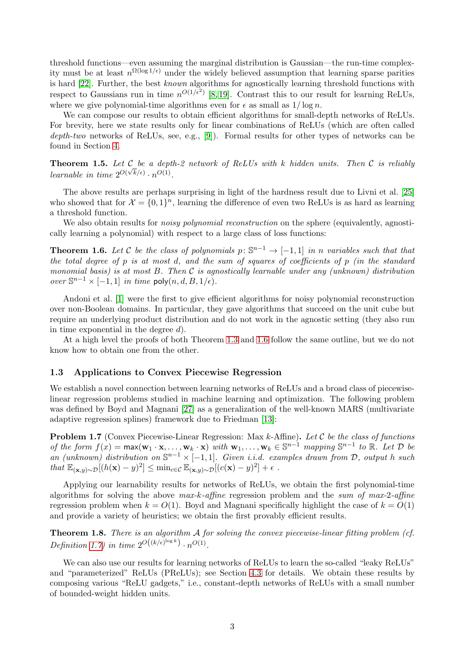threshold functions—even assuming the marginal distribution is Gaussian—the run-time complexity must be at least  $n^{\Omega(\log 1/\epsilon)}$  under the widely believed assumption that learning sparse parities is hard [\[22\]](#page-30-6). Further, the best known algorithms for agnostically learning threshold functions with respect to Gaussians run in time  $n^{O(1/\epsilon^2)}$  [\[8,](#page-29-4) [19\]](#page-30-3). Contrast this to our result for learning ReLUs, where we give polynomial-time algorithms even for  $\epsilon$  as small as  $1/\log n$ .

We can compose our results to obtain efficient algorithms for small-depth networks of ReLUs. For brevity, here we state results only for linear combinations of ReLUs (which are often called depth-two networks of ReLUs, see, e.g., [\[9\]](#page-29-5)). Formal results for other types of networks can be found in Section [4.](#page-19-0)

**Theorem 1.5.** Let C be a depth-2 network of ReLUs with k hidden units. Then C is reliably learnable in time  $2^{O(\sqrt{k}/\epsilon)} \cdot n^{O(1)}$ .

The above results are perhaps surprising in light of the hardness result due to Livni et al. [\[25\]](#page-30-7) who showed that for  $\mathcal{X} = \{0, 1\}^n$ , learning the difference of even two ReLUs is as hard as learning a threshold function.

We also obtain results for *noisy polynomial reconstruction* on the sphere (equivalently, agnostically learning a polynomial) with respect to a large class of loss functions:

<span id="page-3-0"></span>**Theorem 1.6.** Let C be the class of polynomials  $p: \mathbb{S}^{n-1} \to [-1,1]$  in n variables such that that the total degree of  $p$  is at most d, and the sum of squares of coefficients of  $p$  (in the standard monomial basis) is at most B. Then  $\mathcal C$  is agnostically learnable under any (unknown) distribution over  $\mathbb{S}^{n-1}$  × [-1, 1] in time poly $(n, d, B, 1/\epsilon)$ .

Andoni et al. [\[1\]](#page-29-6) were the first to give efficient algorithms for noisy polynomial reconstruction over non-Boolean domains. In particular, they gave algorithms that succeed on the unit cube but require an underlying product distribution and do not work in the agnostic setting (they also run in time exponential in the degree  $d$ ).

At a high level the proofs of both Theorem [1.3](#page-2-0) and [1.6](#page-3-0) follow the same outline, but we do not know how to obtain one from the other.

### 1.3 Applications to Convex Piecewise Regression

We establish a novel connection between learning networks of ReLUs and a broad class of piecewiselinear regression problems studied in machine learning and optimization. The following problem was defined by Boyd and Magnani [\[27\]](#page-30-8) as a generalization of the well-known MARS (multivariate adaptive regression splines) framework due to Friedman [\[13\]](#page-29-7):

<span id="page-3-1"></span>**Problem 1.7** (Convex Piecewise-Linear Regression: Max  $k$ -Affine). Let  $C$  be the class of functions of the form  $f(x) = \max(\mathbf{w}_1 \cdot \mathbf{x}, \dots, \mathbf{w}_k \cdot \mathbf{x})$  with  $\mathbf{w}_1, \dots, \mathbf{w}_k \in \mathbb{S}^{n-1}$  mapping  $\mathbb{S}^{n-1}$  to  $\mathbb{R}$ . Let  $\mathcal{D}$  be an (unknown) distribution on  $\mathbb{S}^{n-1} \times [-1,1]$ . Given i.i.d. examples drawn from  $\mathcal{D}$ , output h such that  $\mathbb{E}_{(\mathbf{x},y)\sim\mathcal{D}}[(h(\mathbf{x})-y)^2] \leq \min_{c\in\mathcal{C}} \mathbb{E}_{(\mathbf{x},y)\sim\mathcal{D}}[(c(\mathbf{x})-y)^2] + \epsilon$ .

Applying our learnability results for networks of ReLUs, we obtain the first polynomial-time algorithms for solving the above  $max-k\text{-}affine$  regression problem and the sum of  $max\text{-}2\text{-}affine$ regression problem when  $k = O(1)$ . Boyd and Magnani specifically highlight the case of  $k = O(1)$ and provide a variety of heuristics; we obtain the first provably efficient results.

**Theorem 1.8.** There is an algorithm  $\mathcal A$  for solving the convex piecewise-linear fitting problem (cf. Definition [1.7\)](#page-3-1) in time  $2^{O((k/\epsilon)^{\log k})} \cdot n^{O(1)}$ .

We can also use our results for learning networks of ReLUs to learn the so-called "leaky ReLUs" and "parameterized" ReLUs (PReLUs); see Section [4.3](#page-23-0) for details. We obtain these results by composing various "ReLU gadgets," i.e., constant-depth networks of ReLUs with a small number of bounded-weight hidden units.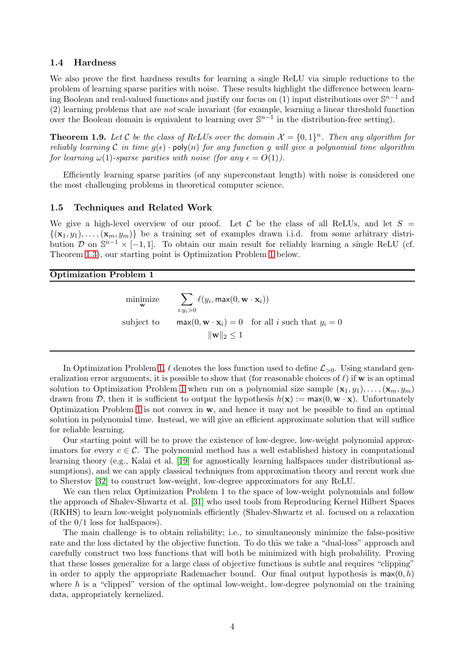#### 1.4 Hardness

We also prove the first hardness results for learning a single ReLU via simple reductions to the problem of learning sparse parities with noise. These results highlight the difference between learning Boolean and real-valued functions and justify our focus on (1) input distributions over  $\mathbb{S}^{n-1}$  and (2) learning problems that are not scale invariant (for example, learning a linear threshold function over the Boolean domain is equivalent to learning over  $\mathbb{S}^{n-1}$  in the distribution-free setting).

**Theorem 1.9.** Let C be the class of ReLUs over the domain  $\mathcal{X} = \{0,1\}^n$ . Then any algorithm for reliably learning C in time  $g(\epsilon)$  · poly(n) for any function g will give a polynomial time algorithm for learning  $\omega(1)$ -sparse parities with noise (for any  $\epsilon = O(1)$ ).

Efficiently learning sparse parities (of any superconstant length) with noise is considered one the most challenging problems in theoretical computer science.

#### 1.5 Techniques and Related Work

We give a high-level overview of our proof. Let C be the class of all ReLUs, and let  $S =$  $\{(\mathbf{x}_1, y_1), \ldots, (\mathbf{x}_m, y_m)\}\)$  be a training set of examples drawn i.i.d. from some arbitrary distribution  $\mathcal{D}$  on  $\mathbb{S}^{n-1} \times [-1,1]$ . To obtain our main result for reliably learning a single ReLU (cf. Theorem [1.3\)](#page-2-0), our starting point is Optimization Problem [1](#page-4-0) below.

## <span id="page-4-0"></span>Optimization Problem 1

minimize w  $\sum$  $i:y_i>0$  $\ell(y_i, \textsf{max}(0, \textbf{w} \cdot \textbf{x}_i))$ subject to max $(0, \mathbf{w} \cdot \mathbf{x}_i) = 0$  for all i such that  $y_i = 0$  $\|\mathbf{w}\|_2 \leq 1$ 

In Optimization Problem [1,](#page-4-0)  $\ell$  denotes the loss function used to define  $\mathcal{L}_{>0}$ . Using standard generalization error arguments, it is possible to show that (for reasonable choices of  $\ell$ ) if w is an optimal solution to Optimization Problem [1](#page-4-0) when run on a polynomial size sample  $(\mathbf{x}_1, y_1), \ldots, (\mathbf{x}_m, y_m)$ drawn from D, then it is sufficient to output the hypothesis  $h(\mathbf{x}) := \max(0, \mathbf{w} \cdot \mathbf{x})$ . Unfortunately Optimization Problem [1](#page-4-0) is not convex in  $w$ , and hence it may not be possible to find an optimal solution in polynomial time. Instead, we will give an efficient approximate solution that will suffice for reliable learning.

Our starting point will be to prove the existence of low-degree, low-weight polynomial approximators for every  $c \in \mathcal{C}$ . The polynomial method has a well established history in computational learning theory (e.g., Kalai et al. [\[19\]](#page-30-3) for agnostically learning halfspaces under distributional assumptions), and we can apply classical techniques from approximation theory and recent work due to Sherstov [\[32\]](#page-30-9) to construct low-weight, low-degree approximators for any ReLU.

We can then relax Optimization Problem 1 to the space of low-weight polynomials and follow the approach of Shalev-Shwartz et al. [\[31\]](#page-30-5) who used tools from Reproducing Kernel Hilbert Spaces (RKHS) to learn low-weight polynomials efficiently (Shalev-Shwartz et al. focused on a relaxation of the 0/1 loss for halfspaces).

The main challenge is to obtain reliability; i.e., to simultaneously minimize the false-positive rate and the loss dictated by the objective function. To do this we take a "dual-loss" approach and carefully construct two loss functions that will both be minimized with high probability. Proving that these losses generalize for a large class of objective functions is subtle and requires "clipping" in order to apply the appropriate Rademacher bound. Our final output hypothesis is  $max(0, h)$ where  $h$  is a "clipped" version of the optimal low-weight, low-degree polynomial on the training data, appropriately kernelized.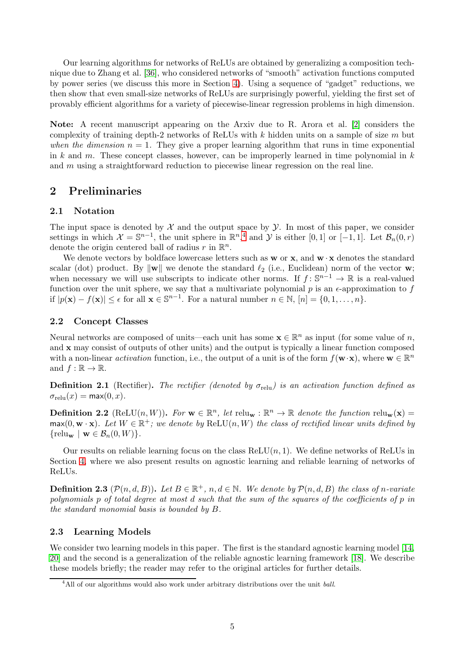Our learning algorithms for networks of ReLUs are obtained by generalizing a composition technique due to Zhang et al. [\[36\]](#page-30-10), who considered networks of "smooth" activation functions computed by power series (we discuss this more in Section [4\)](#page-19-0). Using a sequence of "gadget" reductions, we then show that even small-size networks of ReLUs are surprisingly powerful, yielding the first set of provably efficient algorithms for a variety of piecewise-linear regression problems in high dimension.

Note: A recent manuscript appearing on the Arxiv due to R. Arora et al. [\[2\]](#page-29-8) considers the complexity of training depth-2 networks of ReLUs with  $k$  hidden units on a sample of size  $m$  but when the dimension  $n = 1$ . They give a proper learning algorithm that runs in time exponential in k and m. These concept classes, however, can be improperly learned in time polynomial in  $k$ and m using a straightforward reduction to piecewise linear regression on the real line.

## 2 Preliminaries

## 2.1 Notation

The input space is denoted by  $\mathcal X$  and the output space by  $\mathcal Y$ . In most of this paper, we consider settings in which  $\mathcal{X} = \mathbb{S}^{n-1}$ , the unit sphere in  $\mathbb{R}^n,$ <sup>4</sup> and  $\mathcal{Y}$  is either [0, 1] or [-1, 1]. Let  $\mathcal{B}_n(0,r)$ denote the origin centered ball of radius  $r$  in  $\mathbb{R}^n$ .

We denote vectors by boldface lowercase letters such as  $w$  or  $x$ , and  $w \cdot x$  denotes the standard scalar (dot) product. By  $\|\mathbf{w}\|$  we denote the standard  $\ell_2$  (i.e., Euclidean) norm of the vector **w**; when necessary we will use subscripts to indicate other norms. If  $f: \mathbb{S}^{n-1} \to \mathbb{R}$  is a real-valued function over the unit sphere, we say that a multivariate polynomial  $p$  is an  $\epsilon$ -approximation to f if  $|p(\mathbf{x}) - f(\mathbf{x})| \leq \epsilon$  for all  $\mathbf{x} \in \mathbb{S}^{n-1}$ . For a natural number  $n \in \mathbb{N}$ ,  $[n] = \{0, 1, \dots, n\}$ .

## 2.2 Concept Classes

Neural networks are composed of units—each unit has some  $\mathbf{x} \in \mathbb{R}^n$  as input (for some value of n, and x may consist of outputs of other units) and the output is typically a linear function composed with a non-linear *activation* function, i.e., the output of a unit is of the form  $f(\mathbf{w} \cdot \mathbf{x})$ , where  $\mathbf{w} \in \mathbb{R}^n$ and  $f : \mathbb{R} \to \mathbb{R}$ .

**Definition 2.1** (Rectifier). The rectifier (denoted by  $\sigma_{\text{relu}}$ ) is an activation function defined as  $\sigma_{\text{relu}}(x) = \max(0, x).$ 

**Definition 2.2** (ReLU $(n, W)$ ). For  $\mathbf{w} \in \mathbb{R}^n$ , let  $\text{relu}_{\mathbf{w}} : \mathbb{R}^n \to \mathbb{R}$  denote the function  $\text{relu}_{\mathbf{w}}(\mathbf{x}) =$  $\max(0, \mathbf{w} \cdot \mathbf{x})$ . Let  $W \in \mathbb{R}^+$ ; we denote by  $\text{ReLU}(n, W)$  the class of rectified linear units defined by  $\{\text{relu}_{\mathbf{w}} \mid \mathbf{w} \in \mathcal{B}_n(0, W)\}.$ 

Our results on reliable learning focus on the class  $ReLU(n, 1)$ . We define networks of ReLUs in Section [4,](#page-19-0) where we also present results on agnostic learning and reliable learning of networks of ReLUs.

**Definition 2.3**  $(\mathcal{P}(n,d,B))$ . Let  $B \in \mathbb{R}^+$ ,  $n,d \in \mathbb{N}$ . We denote by  $\mathcal{P}(n,d,B)$  the class of n-variate polynomials p of total degree at most d such that the sum of the squares of the coefficients of p in the standard monomial basis is bounded by B.

## 2.3 Learning Models

We consider two learning models in this paper. The first is the standard agnostic learning model [\[14,](#page-29-9) [20\]](#page-30-11) and the second is a generalization of the reliable agnostic learning framework [\[18\]](#page-30-0). We describe these models briefly; the reader may refer to the original articles for further details.

<sup>&</sup>lt;sup>4</sup>All of our algorithms would also work under arbitrary distributions over the unit ball.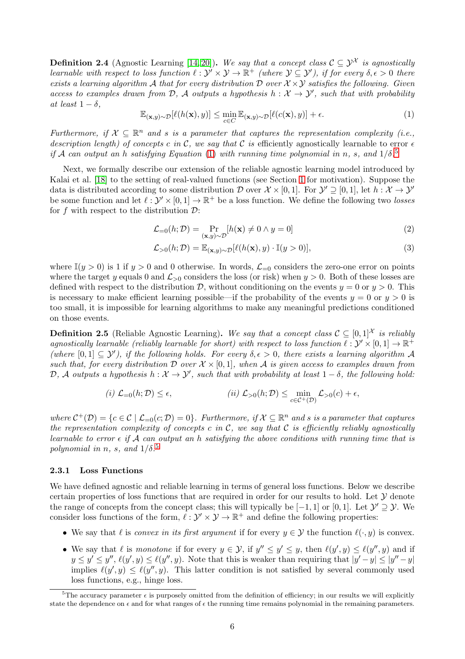**Definition 2.4** (Agnostic Learning [\[14,](#page-29-9) [20\]](#page-30-11)). We say that a concept class  $C \subseteq \mathcal{Y}^{\mathcal{X}}$  is agnostically learnable with respect to loss function  $\ell : \mathcal{Y}' \times \mathcal{Y} \to \mathbb{R}^+$  (where  $\mathcal{Y} \subseteq \mathcal{Y}'$ ), if for every  $\delta, \epsilon > 0$  there exists a learning algorithm A that for every distribution D over  $\mathcal{X} \times \mathcal{Y}$  satisfies the following. Given access to examples drawn from  $D$ , A outputs a hypothesis  $h: \mathcal{X} \to \mathcal{Y}'$ , such that with probability at least  $1 - \delta$ .

<span id="page-6-0"></span>
$$
\mathbb{E}_{(\mathbf{x},y)\sim\mathcal{D}}[\ell(h(\mathbf{x}),y)] \le \min_{c\in C} \mathbb{E}_{(\mathbf{x},y)\sim\mathcal{D}}[\ell(c(\mathbf{x}),y)] + \epsilon.
$$
 (1)

Furthermore, if  $X \subseteq \mathbb{R}^n$  and s is a parameter that captures the representation complexity (i.e., description length) of concepts c in C, we say that C is efficiently agnostically learnable to error  $\epsilon$ if A can output an h satisfying Equation [\(1\)](#page-6-0) with running time polynomial in n, s, and  $1/\delta$ .<sup>5</sup>

Next, we formally describe our extension of the reliable agnostic learning model introduced by Kalai et al. [\[18\]](#page-30-0) to the setting of real-valued functions (see Section [1](#page-1-1) for motivation). Suppose the data is distributed according to some distribution  $D$  over  $\mathcal{X} \times [0,1]$ . For  $\mathcal{Y}' \supseteq [0,1]$ , let  $h : \mathcal{X} \to \mathcal{Y}'$ be some function and let  $\ell : \mathcal{Y}' \times [0,1] \to \mathbb{R}^+$  be a loss function. We define the following two losses for f with respect to the distribution  $\mathcal{D}$ :

$$
\mathcal{L}_{=0}(h; \mathcal{D}) = \Pr_{(\mathbf{x}, y) \sim \mathcal{D}}[h(\mathbf{x}) \neq 0 \land y = 0]
$$
\n(2)

$$
\mathcal{L}_{>0}(h; \mathcal{D}) = \mathbb{E}_{(\mathbf{x}, y) \sim \mathcal{D}}[\ell(h(\mathbf{x}), y) \cdot \mathbb{I}(y > 0)],\tag{3}
$$

where  $\mathbb{I}(y > 0)$  is 1 if  $y > 0$  and 0 otherwise. In words,  $\mathcal{L}_{=0}$  considers the zero-one error on points where the target y equals 0 and  $\mathcal{L}_{>0}$  considers the loss (or risk) when  $y > 0$ . Both of these losses are defined with respect to the distribution  $\mathcal{D}$ , without conditioning on the events  $y = 0$  or  $y > 0$ . This is necessary to make efficient learning possible—if the probability of the events  $y = 0$  or  $y > 0$  is too small, it is impossible for learning algorithms to make any meaningful predictions conditioned on those events.

**Definition 2.5** (Reliable Agnostic Learning). We say that a concept class  $C \subseteq [0,1]^{\mathcal{X}}$  is reliably agnostically learnable (reliably learnable for short) with respect to loss function  $\ell : \mathcal{Y}' \times [0,1] \to \mathbb{R}^+$ (where  $[0,1] \subseteq \mathcal{Y}'$ ), if the following holds. For every  $\delta, \epsilon > 0$ , there exists a learning algorithm A such that, for every distribution  $\mathcal D$  over  $\mathcal X \times [0,1]$ , when A is given access to examples drawn from  $\mathcal{D}, \mathcal{A}$  outputs a hypothesis  $h: \mathcal{X} \to \mathcal{Y}'$ , such that with probability at least  $1-\delta$ , the following hold:

$$
(i) \mathcal{L}_{=0}(h; \mathcal{D}) \le \epsilon, \qquad (ii) \mathcal{L}_{>0}(h; \mathcal{D}) \le \min_{c \in \mathcal{C}^+(D)} \mathcal{L}_{>0}(c) + \epsilon,
$$

where  $C^+(\mathcal{D}) = \{c \in \mathcal{C} \mid \mathcal{L}_{=0}(c; \mathcal{D}) = 0\}$ . Furthermore, if  $\mathcal{X} \subseteq \mathbb{R}^n$  and s is a parameter that captures the representation complexity of concepts c in  $\mathcal{C}$ , we say that  $\mathcal{C}$  is efficiently reliably agnostically learnable to error  $\epsilon$  if A can output an h satisfying the above conditions with running time that is polynomial in n, s, and  $1/\delta$ .<sup>[5](#page-6-0)</sup>

### 2.3.1 Loss Functions

We have defined agnostic and reliable learning in terms of general loss functions. Below we describe certain properties of loss functions that are required in order for our results to hold. Let  $\mathcal Y$  denote the range of concepts from the concept class; this will typically be  $[-1, 1]$  or  $[0, 1]$ . Let  $\mathcal{Y}' \supseteq \mathcal{Y}$ . We consider loss functions of the form,  $\ell : \mathcal{Y}' \times \mathcal{Y} \to \mathbb{R}^+$  and define the following properties:

- We say that  $\ell$  is convex in its first argument if for every  $y \in \mathcal{Y}$  the function  $\ell(\cdot, y)$  is convex.
- We say that  $\ell$  is monotone if for every  $y \in \mathcal{Y}$ , if  $y'' \leq y' \leq y$ , then  $\ell(y', y) \leq \ell(y'', y)$  and if  $y \le y' \le y''$ ,  $\ell(y', y) \le \ell(y'', y)$ . Note that this is weaker than requiring that  $|y' - y| \le |y'' - y|$ implies  $\ell(y', y) \leq \ell(y'', y)$ . This latter condition is not satisfied by several commonly used loss functions, e.g., hinge loss.

<sup>&</sup>lt;sup>5</sup>The accuracy parameter  $\epsilon$  is purposely omitted from the definition of efficiency; in our results we will explicitly state the dependence on  $\epsilon$  and for what ranges of  $\epsilon$  the running time remains polynomial in the remaining parameters.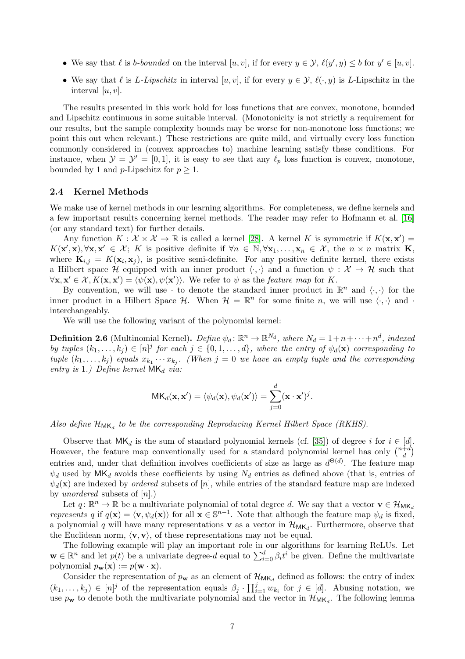- We say that  $\ell$  is b-bounded on the interval  $[u, v]$ , if for every  $y \in \mathcal{Y}$ ,  $\ell(y', y) \leq b$  for  $y' \in [u, v]$ .
- We say that  $\ell$  is *L-Lipschitz* in interval  $[u, v]$ , if for every  $y \in \mathcal{Y}$ ,  $\ell(\cdot, y)$  is *L*-Lipschitz in the interval  $[u, v]$ .

The results presented in this work hold for loss functions that are convex, monotone, bounded and Lipschitz continuous in some suitable interval. (Monotonicity is not strictly a requirement for our results, but the sample complexity bounds may be worse for non-monotone loss functions; we point this out when relevant.) These restrictions are quite mild, and virtually every loss function commonly considered in (convex approaches to) machine learning satisfy these conditions. For instance, when  $\mathcal{Y} = \mathcal{Y}' = [0, 1]$ , it is easy to see that any  $\ell_p$  loss function is convex, monotone, bounded by 1 and *p*-Lipschitz for  $p \geq 1$ .

### <span id="page-7-1"></span>2.4 Kernel Methods

We make use of kernel methods in our learning algorithms. For completeness, we define kernels and a few important results concerning kernel methods. The reader may refer to Hofmann et al. [\[16\]](#page-29-10) (or any standard text) for further details.

Any function  $K: \mathcal{X} \times \mathcal{X} \to \mathbb{R}$  is called a kernel [\[28\]](#page-30-12). A kernel K is symmetric if  $K(\mathbf{x}, \mathbf{x}') =$  $K(\mathbf{x}', \mathbf{x}), \forall \mathbf{x}, \mathbf{x}' \in \mathcal{X};$  K is positive definite if  $\forall n \in \mathbb{N}, \forall \mathbf{x}_1, \dots, \mathbf{x}_n \in \mathcal{X}$ , the  $n \times n$  matrix **K**, where  $\mathbf{K}_{i,j} = K(\mathbf{x}_i, \mathbf{x}_j)$ , is positive semi-definite. For any positive definite kernel, there exists a Hilbert space H equipped with an inner product  $\langle \cdot, \cdot \rangle$  and a function  $\psi : \mathcal{X} \to \mathcal{H}$  such that  $\forall x, \mathbf{x}' \in \mathcal{X}, K(\mathbf{x}, \mathbf{x}') = \langle \psi(\mathbf{x}), \psi(\mathbf{x}') \rangle$ . We refer to  $\psi$  as the *feature map* for K.

By convention, we will use  $\cdot$  to denote the standard inner product in  $\mathbb{R}^n$  and  $\langle \cdot, \cdot \rangle$  for the inner product in a Hilbert Space  $\mathcal{H}$ . When  $\mathcal{H} = \mathbb{R}^n$  for some finite n, we will use  $\langle \cdot, \cdot \rangle$  and  $\cdot$ interchangeably.

We will use the following variant of the polynomial kernel:

<span id="page-7-0"></span>**Definition 2.6** (Multinomial Kernel). Define  $\psi_d \colon \mathbb{R}^n \to \mathbb{R}^{N_d}$ , where  $N_d = 1 + n + \cdots + n^d$ , indexed by tuples  $(k_1, \ldots, k_j) \in [n]^j$  for each  $j \in \{0, 1, \ldots, d\}$ , where the entry of  $\psi_d(\mathbf{x})$  corresponding to tuple  $(k_1, \ldots, k_j)$  equals  $x_{k_1} \cdots x_{k_j}$ . (When  $j = 0$  we have an empty tuple and the corresponding entry is 1.) Define kernel  $MK_d$  via:

$$
\mathsf{MK}_d(\mathbf{x}, \mathbf{x}') = \langle \psi_d(\mathbf{x}), \psi_d(\mathbf{x}') \rangle = \sum_{j=0}^d (\mathbf{x} \cdot \mathbf{x}')^j.
$$

Also define  $\mathcal{H}_{\mathsf{MK}_d}$  to be the corresponding Reproducing Kernel Hilbert Space (RKHS).

Observe that  $MK_d$  is the sum of standard polynomial kernels (cf. [\[35\]](#page-30-13)) of degree i for  $i \in [d]$ . However, the feature map conventionally used for a standard polynomial kernel has only  $\binom{n+d}{d}$  $\binom{1}{d}$ entries and, under that definition involves coefficients of size as large as  $d^{\Theta(d)}$ . The feature map  $\psi_d$  used by MK<sub>d</sub> avoids these coefficients by using N<sub>d</sub> entries as defined above (that is, entries of  $\psi_d(\mathbf{x})$  are indexed by *ordered* subsets of [n], while entries of the standard feature map are indexed by *unordered* subsets of  $[n]$ .)

Let  $q: \mathbb{R}^n \to \mathbb{R}$  be a multivariate polynomial of total degree d. We say that a vector  $\mathbf{v} \in \mathcal{H}_{\mathsf{MK}_d}$ represents q if  $q(\mathbf{x}) = \langle \mathbf{v}, \psi_d(\mathbf{x}) \rangle$  for all  $\mathbf{x} \in \mathbb{S}^{n-1}$ . Note that although the feature map  $\psi_d$  is fixed, a polynomial q will have many representations **v** as a vector in  $\mathcal{H}_{MK_d}$ . Furthermore, observe that the Euclidean norm,  $\langle v, v \rangle$ , of these representations may not be equal.

The following example will play an important role in our algorithms for learning ReLUs. Let  $\mathbf{w} \in \mathbb{R}^n$  and let  $p(t)$  be a univariate degree-d equal to  $\sum_{i=0}^d \beta_i t^i$  be given. Define the multivariate polynomial  $p_{\mathbf{w}}(\mathbf{x}) := p(\mathbf{w} \cdot \mathbf{x}).$ 

Consider the representation of  $p_{\mathbf{w}}$  as an element of  $\mathcal{H}_{MK_d}$  defined as follows: the entry of index  $(k_1,\ldots,k_j) \in [n]^j$  of the representation equals  $\beta_j \cdot \prod_{i=1}^j w_{k_i}$  for  $j \in [d]$ . Abusing notation, we use  $p_{\mathbf{w}}$  to denote both the multivariate polynomial and the vector in  $\mathcal{H}_{MK_d}$ . The following lemma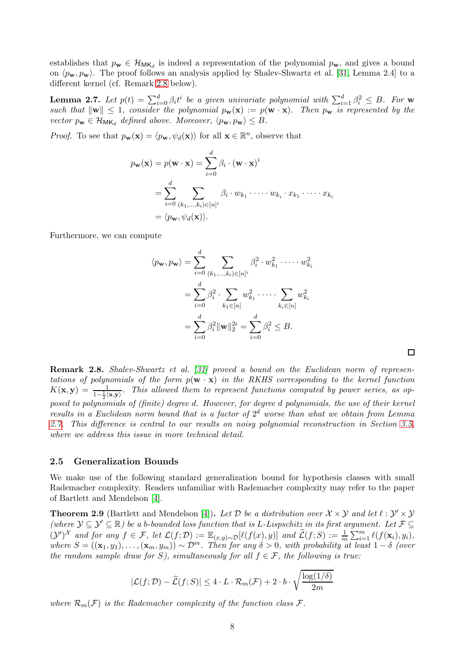establishes that  $p_{\mathbf{w}} \in \mathcal{H}_{MK_d}$  is indeed a representation of the polynomial  $p_{\mathbf{w}}$ , and gives a bound on  $\langle p_{\mathbf{w}}, p_{\mathbf{w}}\rangle$ . The proof follows an analysis applied by Shalev-Shwartz et al. [\[31,](#page-30-5) Lemma 2.4] to a different kernel (cf. Remark [2.8](#page-8-0) below).

<span id="page-8-1"></span>**Lemma 2.7.** Let  $p(t) = \sum_{i=0}^{d} \beta_i t^i$  be a given univariate polynomial with  $\sum_{i=1}^{d} \beta_i^2 \leq B$ . For w such that  $\|\mathbf{w}\| \leq 1$ , consider the polynomial  $p_{\mathbf{w}}(\mathbf{x}) := p(\mathbf{w} \cdot \mathbf{x})$ . Then  $p_{\mathbf{w}}$  is represented by the vector  $p_{\mathbf{w}} \in \mathcal{H}_{MK_d}$  defined above. Moreover,  $\langle p_{\mathbf{w}}, p_{\mathbf{w}} \rangle \leq B$ .

*Proof.* To see that  $p_{\mathbf{w}}(\mathbf{x}) = \langle p_{\mathbf{w}}, \psi_d(\mathbf{x}) \rangle$  for all  $\mathbf{x} \in \mathbb{R}^n$ , observe that

$$
p_{\mathbf{w}}(\mathbf{x}) = p(\mathbf{w} \cdot \mathbf{x}) = \sum_{i=0}^{d} \beta_i \cdot (\mathbf{w} \cdot \mathbf{x})^i
$$
  
= 
$$
\sum_{i=0}^{d} \sum_{(k_1, ..., k_i) \in [n]^i} \beta_i \cdot w_{k_1} \cdot \dots \cdot w_{k_i} \cdot x_{k_1} \cdot \dots \cdot x_{k_i}
$$
  
= 
$$
\langle p_{\mathbf{w}}, \psi_d(\mathbf{x}) \rangle.
$$

Furthermore, we can compute

$$
\langle p_{\mathbf{w}}, p_{\mathbf{w}} \rangle = \sum_{i=0}^{d} \sum_{(k_1, ..., k_i) \in [n]^i} \beta_i^2 \cdot w_{k_1}^2 \cdot \dots \cdot w_{k_i}^2
$$

$$
= \sum_{i=0}^{d} \beta_i^2 \cdot \sum_{k_1 \in [n]} w_{k_1}^2 \cdot \dots \cdot \sum_{k_i \in [n]} w_{k_i}^2
$$

$$
= \sum_{i=0}^{d} \beta_i^2 ||\mathbf{w}||_2^{2i} = \sum_{i=0}^{d} \beta_i^2 \leq B.
$$

<span id="page-8-0"></span>**Remark 2.8.** Shalev-Shwartz et al. [\[31\]](#page-30-5) proved a bound on the Euclidean norm of representations of polynomials of the form  $p(\mathbf{w} \cdot \mathbf{x})$  in the RKHS corresponding to the kernel function  $K(\mathbf{x}, \mathbf{y}) = \frac{1}{1-\frac{1}{2}\langle \mathbf{x}, \mathbf{y} \rangle}$ . This allowed them to represent functions computed by power series, as opposed to polynomials of (finite) degree d. However, for degree d polynomials, the use of their kernel results in a Euclidean norm bound that is a factor of  $2<sup>d</sup>$  worse than what we obtain from Lemma [2.7.](#page-8-1) This difference is central to our results on noisy polynomial reconstruction in Section [3.5,](#page-15-0) where we address this issue in more technical detail.

#### <span id="page-8-3"></span>2.5 Generalization Bounds

We make use of the following standard generalization bound for hypothesis classes with small Rademacher complexity. Readers unfamiliar with Rademacher complexity may refer to the paper of Bartlett and Mendelson [\[4\]](#page-29-11).

<span id="page-8-2"></span>**Theorem 2.9** (Bartlett and Mendelson [\[4\]](#page-29-11)). Let  $D$  be a distribution over  $\mathcal{X} \times \mathcal{Y}$  and let  $\ell : \mathcal{Y}' \times \mathcal{Y}$ (where  $\mathcal{Y} \subseteq \mathcal{Y}' \subseteq \mathbb{R}$ ) be a b-bounded loss function that is L-Lispschitz in its first argument. Let  $\mathcal{F} \subseteq$  $({\cal Y}')^{\cal X}$  and for any  $f \in {\cal F}$ , let  ${\cal L}(f;{\cal D}) := \mathbb{E}_{(x,y)\sim{\cal D}}[\ell(f(x),y)]$  and  $\widehat{\cal L}(f;S) := \frac{1}{m}\sum_{i=1}^m \ell(f(x_i),y_i)$ , where  $S = ((\mathbf{x}_1, y_1), \dots, (\mathbf{x}_m, y_m)) \sim \mathcal{D}^m$ . Then for any  $\delta > 0$ , with probability at least  $1 - \delta$  (over the random sample draw for S), simultaneously for all  $f \in \mathcal{F}$ , the following is true:

$$
|\mathcal{L}(f; \mathcal{D}) - \widehat{\mathcal{L}}(f; S)| \le 4 \cdot L \cdot \mathcal{R}_m(\mathcal{F}) + 2 \cdot b \cdot \sqrt{\frac{\log(1/\delta)}{2m}}
$$

where  $\mathcal{R}_m(\mathcal{F})$  is the Rademacher complexity of the function class  $\mathcal{F}$ .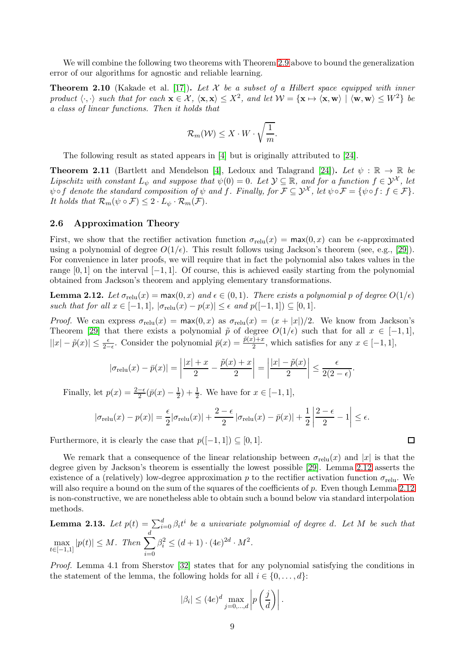We will combine the following two theorems with Theorem [2.9](#page-8-2) above to bound the generalization error of our algorithms for agnostic and reliable learning.

<span id="page-9-3"></span>**Theorem 2.10** (Kakade et al. [\[17\]](#page-30-14)). Let X be a subset of a Hilbert space equipped with inner product  $\langle \cdot, \cdot \rangle$  such that for each  $\mathbf{x} \in \mathcal{X}$ ,  $\langle \mathbf{x}, \mathbf{x} \rangle \leq X^2$ , and let  $\mathcal{W} = \{ \mathbf{x} \mapsto \langle \mathbf{x}, \mathbf{w} \rangle \mid \langle \mathbf{w}, \mathbf{w} \rangle \leq W^2 \}$  be a class of linear functions. Then it holds that

$$
\mathcal{R}_m(\mathcal{W}) \leq X \cdot W \cdot \sqrt{\frac{1}{m}}.
$$

The following result as stated appears in [\[4\]](#page-29-11) but is originally attributed to [\[24\]](#page-30-15).

<span id="page-9-2"></span>**Theorem 2.11** (Bartlett and Mendelson [\[4\]](#page-29-11), Ledoux and Talagrand [\[24\]](#page-30-15)). Let  $\psi : \mathbb{R} \to \mathbb{R}$  be Lipschitz with constant  $L_{\psi}$  and suppose that  $\psi(0) = 0$ . Let  $\mathcal{Y} \subseteq \mathbb{R}$ , and for a function  $f \in \mathcal{Y}^{\mathcal{X}}$ , let  $\psi \circ f$  denote the standard composition of  $\psi$  and  $\hat{f}$ . Finally, for  $\mathcal{F} \subseteq \mathcal{Y}^{\mathcal{X}}$ , let  $\psi \circ \mathcal{F} = {\psi \circ f : f \in \mathcal{F}}$ . It holds that  $\mathcal{R}_m(\psi \circ \mathcal{F}) \leq 2 \cdot L_{\psi} \cdot \mathcal{R}_m(\mathcal{F})$ .

#### 2.6 Approximation Theory

First, we show that the rectifier activation function  $\sigma_{relu}(x) = \max(0, x)$  can be  $\epsilon$ -approximated using a polynomial of degree  $O(1/\epsilon)$ . This result follows using Jackson's theorem (see, e.g., [\[29\]](#page-30-16)). For convenience in later proofs, we will require that in fact the polynomial also takes values in the range  $[0,1]$  on the interval  $[-1,1]$ . Of course, this is achieved easily starting from the polynomial obtained from Jackson's theorem and applying elementary transformations.

<span id="page-9-0"></span>**Lemma 2.12.** Let  $\sigma_{relu}(x) = \max(0, x)$  and  $\epsilon \in (0, 1)$ . There exists a polynomial p of degree  $O(1/\epsilon)$ such that for all  $x \in [-1,1]$ ,  $|\sigma_{relu}(x) - p(x)| \leq \epsilon$  and  $p([-1,1]) \subseteq [0,1]$ .

*Proof.* We can express  $\sigma_{relu}(x) = \max(0, x)$  as  $\sigma_{relu}(x) = (x + |x|)/2$ . We know from Jackson's Theorem [\[29\]](#page-30-16) that there exists a polynomial  $\tilde{p}$  of degree  $O(1/\epsilon)$  such that for all  $x \in [-1,1]$ ,  $||x| - \tilde{p}(x)| \le \frac{\epsilon}{2-\epsilon}$ . Consider the polynomial  $\bar{p}(x) = \frac{\tilde{p}(x)+x}{2}$ , which satisfies for any  $x \in [-1,1]$ ,

$$
|\sigma_{\text{relu}}(x) - \bar{p}(x)| = \left| \frac{|x| + x}{2} - \frac{\tilde{p}(x) + x}{2} \right| = \left| \frac{|x| - \tilde{p}(x)}{2} \right| \le \frac{\epsilon}{2(2 - \epsilon)}.
$$

Finally, let  $p(x) = \frac{2-\epsilon}{2}(\bar{p}(x) - \frac{1}{2})$  $(\frac{1}{2}) + \frac{1}{2}$ . We have for  $x \in [-1, 1]$ ,

$$
|\sigma_{\text{relu}}(x) - p(x)| = \frac{\epsilon}{2} |\sigma_{\text{relu}}(x)| + \frac{2 - \epsilon}{2} |\sigma_{\text{relu}}(x) - \bar{p}(x)| + \frac{1}{2} \left| \frac{2 - \epsilon}{2} - 1 \right| \le \epsilon.
$$

Furthermore, it is clearly the case that  $p([-1, 1]) \subseteq [0, 1]$ .

We remark that a consequence of the linear relationship between  $\sigma_{\text{relu}}(x)$  and |x| is that the degree given by Jackson's theorem is essentially the lowest possible [\[29\]](#page-30-16). Lemma [2.12](#page-9-0) asserts the existence of a (relatively) low-degree approximation p to the rectifier activation function  $\sigma_{\text{relu}}$ . We will also require a bound on the sum of the squares of the coefficients of  $p$ . Even though Lemma [2.12](#page-9-0) is non-constructive, we are nonetheless able to obtain such a bound below via standard interpolation methods.

<span id="page-9-1"></span>**Lemma 2.13.** Let  $p(t) = \sum_{i=0}^{d} \beta_i t^i$  be a univariate polynomial of degree d. Let M be such that max  $\max_{t \in [-1,1]} |p(t)| \leq M.$  Then  $\sum_{i=0}$ d  $i=0$  $\beta_i^2 \leq (d+1) \cdot (4e)^{2d} \cdot M^2.$ 

Proof. Lemma 4.1 from Sherstov [\[32\]](#page-30-9) states that for any polynomial satisfying the conditions in the statement of the lemma, the following holds for all  $i \in \{0, \ldots, d\}$ :

$$
|\beta_i| \le (4e)^d \max_{j=0,\dots,d} \left| p\left(\frac{j}{d}\right) \right|.
$$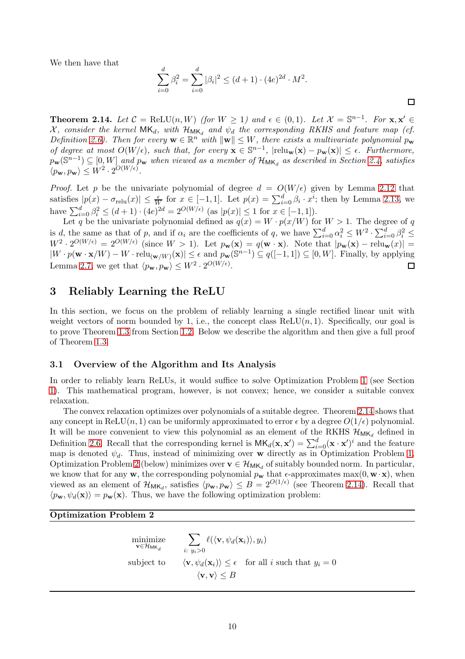We then have that

$$
\sum_{i=0}^{d} \beta_i^2 = \sum_{i=0}^{d} |\beta_i|^2 \le (d+1) \cdot (4e)^{2d} \cdot M^2.
$$

 $\Box$ 

<span id="page-10-0"></span>**Theorem 2.14.** Let  $C = \text{ReLU}(n, W)$  (for  $W \ge 1$ ) and  $\epsilon \in (0, 1)$ . Let  $\mathcal{X} = \mathbb{S}^{n-1}$ . For  $\mathbf{x}, \mathbf{x}' \in \mathbb{S}^{n}$ X, consider the kernel  $MK_d$ , with  $\mathcal{H}_{MK_d}$  and  $\psi_d$  the corresponding RKHS and feature map (cf. Definition [2.6\)](#page-7-0). Then for every  $\mathbf{w} \in \mathbb{R}^n$  with  $\|\mathbf{w}\| \leq W$ , there exists a multivariate polynomial  $p_\mathbf{w}$ of degree at most  $O(W/\epsilon)$ , such that, for every  $\mathbf{x} \in \mathbb{S}^{n-1}$ ,  $|relu_{\mathbf{w}}(\mathbf{x}) - p_{\mathbf{w}}(\mathbf{x})| \leq \epsilon$ . Furthermore,  $p_{\mathbf{w}}(\mathbb{S}^{n-1}) \subseteq [0, W]$  and  $p_{\mathbf{w}}$  when viewed as a member of  $\mathcal{H}_{\mathsf{MK}_d}$  as described in Section [2.4,](#page-7-1) satisfies  $\langle p_{\mathbf{w}}, p_{\mathbf{w}} \rangle \leq W^2 \cdot 2^{O(W/\epsilon)}.$ 

*Proof.* Let p be the univariate polynomial of degree  $d = O(W/\epsilon)$  given by Lemma [2.12](#page-9-0) that satisfies  $|p(x) - \sigma_{\text{relu}}(x)| \leq \frac{\epsilon}{W}$  for  $x \in [-1, 1]$ . Let  $p(x) = \sum_{i=0}^{d} \beta_i \cdot x^i$ ; then by Lemma [2.13,](#page-9-1) we have  $\sum_{i=0}^{d} \beta_i^2 \leq (d+1) \cdot (4e)^{2d} = 2^{O(W/\epsilon)}$  (as  $|p(x)| \leq 1$  for  $x \in [-1,1]$ ).

Let q be the univariate polynomial defined as  $q(x) = W \cdot p(x/W)$  for  $W > 1$ . The degree of q is d, the same as that of p, and if  $\alpha_i$  are the coefficients of q, we have  $\sum_{i=0}^d \alpha_i^2 \leq W^2 \cdot \sum_{i=0}^d \beta_i^2 \leq$  $W^2 \cdot 2^{O(W/\epsilon)} = 2^{O(W/\epsilon)}$  (since  $W > 1$ ). Let  $p_{\mathbf{w}}(\mathbf{x}) = q(\mathbf{w} \cdot \mathbf{x})$ . Note that  $|p_{\mathbf{w}}(\mathbf{x}) - \text{relu}_{\mathbf{w}}(x)| =$  $|W \cdot p(\mathbf{w} \cdot \mathbf{x}/W) - W \cdot \text{relu}_{(\mathbf{w}/W)}(\mathbf{x})| \le \epsilon$  and  $p_{\mathbf{w}}(\mathbb{S}^{n-1}) \subseteq q([-1,1]) \subseteq [0, W]$ . Finally, by applying Lemma [2.7,](#page-8-1) we get that  $\langle p_{\mathbf{w}}, p_{\mathbf{w}} \rangle \leq W^2 \cdot 2^{O(W/\epsilon)}$ . □

## <span id="page-10-3"></span>3 Reliably Learning the ReLU

In this section, we focus on the problem of reliably learning a single rectified linear unit with weight vectors of norm bounded by 1, i.e., the concept class  $ReLU(n, 1)$ . Specifically, our goal is to prove Theorem [1.3](#page-2-0) from Section [1.2.](#page-2-1) Below we describe the algorithm and then give a full proof of Theorem [1.3.](#page-2-0)

#### <span id="page-10-2"></span>3.1 Overview of the Algorithm and Its Analysis

In order to reliably learn ReLUs, it would suffice to solve Optimization Problem [1](#page-4-0) (see Section [1\)](#page-1-1). This mathematical program, however, is not convex; hence, we consider a suitable convex relaxation.

The convex relaxation optimizes over polynomials of a suitable degree. Theorem [2.14](#page-10-0) shows that any concept in ReLU(n, 1) can be uniformly approximated to error  $\epsilon$  by a degree  $O(1/\epsilon)$  polynomial. It will be more convenient to view this polynomial as an element of the RKHS  $\mathcal{H}_{MK_d}$  defined in Definition [2.6.](#page-7-0) Recall that the corresponding kernel is  $MK_d(\mathbf{x}, \mathbf{x}') = \sum_{i=0}^d (\mathbf{x} \cdot \mathbf{x}')^i$  and the feature map is denoted  $\psi_d$ . Thus, instead of minimizing over w directly as in Optimization Problem [1,](#page-4-0) Optimization Problem [2](#page-10-1) (below) minimizes over  $\mathbf{v} \in \mathcal{H}_{MK_d}$  of suitably bounded norm. In particular, we know that for any **w**, the corresponding polynomial  $p_w$  that  $\epsilon$ -approximates max $(0, w \cdot x)$ , when viewed as an element of  $\mathcal{H}_{MK_d}$ , satisfies  $\langle p_{\mathbf{w}}, p_{\mathbf{w}} \rangle \leq B = 2^{O(1/\epsilon)}$  (see Theorem [2.14\)](#page-10-0). Recall that  $\langle p_{\mathbf{w}}, \psi_d(\mathbf{x})\rangle = p_{\mathbf{w}}(\mathbf{x})$ . Thus, we have the following optimization problem:

#### <span id="page-10-1"></span>Optimization Problem 2

minimize  $\mathbf{v}$ ∈ $\mathcal{H}_{\mathsf{MK}_d}$  $\sum$  $i: y_i > 0$  $\ell(\langle \mathbf{v}, \psi_d(\mathbf{x}_i)\rangle, y_i)$ subject to  $\langle v, \psi_d(\mathbf{x}_i)\rangle \leq \epsilon$  for all i such that  $y_i = 0$  $\langle \mathbf{v}, \mathbf{v} \rangle \leq B$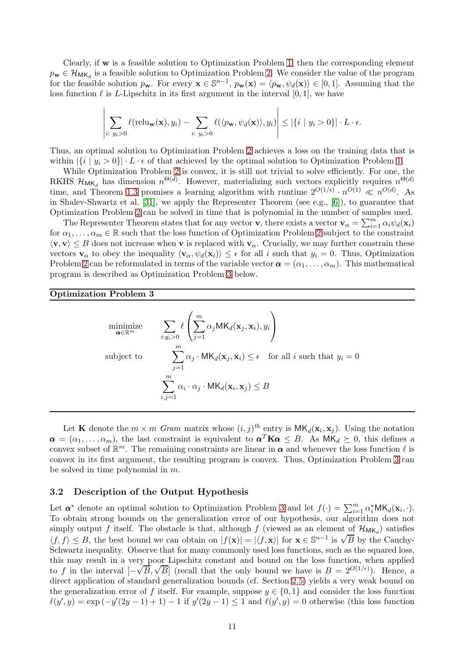Clearly, if  $\bf{w}$  is a feasible solution to Optimization Problem [1,](#page-4-0) then the corresponding element  $p_{\mathbf{w}} \in \mathcal{H}_{\mathsf{MK}_d}$  is a feasible solution to Optimization Problem [2.](#page-10-1) We consider the value of the program for the feasible solution  $p_{\mathbf{w}}$ . For every  $\mathbf{x} \in \mathbb{S}^{n-1}$ ,  $p_{\mathbf{w}}(\mathbf{x}) = \langle p_{\mathbf{w}}, \psi_d(\mathbf{x}) \rangle \in [0, 1]$ . Assuming that the loss function  $\ell$  is L-Lipschitz in its first argument in the interval [0, 1], we have

$$
\left|\sum_{i:\ y_i>0}\ell(\text{relu}_{\mathbf{w}}(\mathbf{x}),y_i)-\sum_{i:\ y_i>0}\ell(\langle p_{\mathbf{w}},\psi_d(\mathbf{x})\rangle,y_i)\right|\leq |\{i\mid y_i>0\}|\cdot L\cdot\epsilon.
$$

Thus, an optimal solution to Optimization Problem [2](#page-10-1) achieves a loss on the training data that is within  $|\{i \mid y_i > 0\}| \cdot L \cdot \epsilon$  of that achieved by the optimal solution to Optimization Problem [1.](#page-4-0)

While Optimization Problem [2](#page-10-1) is convex, it is still not trivial to solve efficiently. For one, the RKHS  $\mathcal{H}_{MK_d}$  has dimension  $n^{\Theta(d)}$ . However, materializing such vectors explicitly requires  $n^{\Theta(d)}$ . time, and Theorem [1.3](#page-2-0) promises a learning algorithm with runtime  $2^{O(1/\epsilon)} \cdot n^{O(1)} \ll n^{O(d)}$ . As in Shalev-Shwartz et al. [\[31\]](#page-30-5), we apply the Representer Theorem (see e.g., [\[6\]](#page-29-12)), to guarantee that Optimization Problem [2](#page-10-1) can be solved in time that is polynomial in the number of samples used.

The Representer Theorem states that for any vector **v**, there exists a vector  $\mathbf{v}_{\alpha} = \sum_{i=1}^{m} \alpha_i \psi_d(\mathbf{x}_i)$ for  $\alpha_1, \ldots, \alpha_m \in \mathbb{R}$  such that the loss function of Optimization Problem [2](#page-10-1) subject to the constraint  $\langle v, v \rangle \leq B$  does not increase when v is replaced with  $v_\alpha$ . Crucially, we may further constrain these vectors  $\mathbf{v}_{\alpha}$  to obey the inequality  $\langle \mathbf{v}_{\alpha}, \psi_d(\mathbf{x}_i) \rangle \leq \epsilon$  for all i such that  $y_i = 0$ . Thus, Optimization Problem [2](#page-10-1) can be reformulated in terms of the variable vector  $\boldsymbol{\alpha} = (\alpha_1, \dots, \alpha_m)$ . This mathematical program is described as Optimization Problem [3](#page-11-0) below.

#### <span id="page-11-0"></span>Optimization Problem 3

$$
\begin{aligned}\n\underset{\mathbf{a} \in \mathbb{R}^m}{\text{minimize}} & & & \sum_{i:y_i > 0} \ell \left( \sum_{j=1}^m \alpha_j \mathsf{MK}_d(\mathbf{x}_j, \mathbf{x}_i), y_i \right) \\
\text{subject to} & & & \sum_{j=1}^m \alpha_j \cdot \mathsf{MK}_d(\mathbf{x}_j, \mathbf{x}_i) \le \epsilon \quad \text{for all } i \text{ such that } y_i = 0 \\
& & & \sum_{i,j=1}^m \alpha_i \cdot \alpha_j \cdot \mathsf{MK}_d(\mathbf{x}_i, \mathbf{x}_j) \le B\n\end{aligned}
$$

Let **K** denote the  $m \times m$  Gram matrix whose  $(i, j)^{th}$  entry is  $MK_d(\mathbf{x}_i, \mathbf{x}_j)$ . Using the notation  $\alpha = (\alpha_1, \ldots, \alpha_m)$ , the last constraint is equivalent to  $\alpha^T K \alpha \leq B$ . As  $MK_d \geq 0$ , this defines a convex subset of  $\mathbb{R}^m$ . The remaining constraints are linear in  $\alpha$  and whenever the loss function  $\ell$  is convex in its first argument, the resulting program is convex. Thus, Optimization Problem [3](#page-11-0) can be solved in time polynomial in  $m$ .

#### <span id="page-11-1"></span>3.2 Description of the Output Hypothesis

Let  $\alpha^*$  denote an optimal solution to Optimization Problem [3](#page-11-0) and let  $f(\cdot) = \sum_{i=1}^m \alpha_i^* M K_d(\mathbf{x}_i, \cdot)$ . To obtain strong bounds on the generalization error of our hypothesis, our algorithm does not simply output f itself. The obstacle is that, although f (viewed as an element of  $\mathcal{H}_{MK_d}$ ) satisfies  $\langle f, f \rangle \leq B$ , the best bound we can obtain on  $|f(\mathbf{x})| = |\langle f, \mathbf{x} \rangle|$  for  $\mathbf{x} \in \mathbb{S}^{n-1}$  is  $\sqrt{B}$  by the Cauchy-Schwartz inequality. Observe that for many commonly used loss functions, such as the squared loss, this may result in a very poor Lipschitz constant and bound on the loss function, when applied to f in the interval  $[-\sqrt{B}, \sqrt{B}]$  (recall that the only bound we have is  $B = 2^{O(1/\epsilon)}$ ). Hence, a direct application of standard generalization bounds (cf. Section [2.5\)](#page-8-3) yields a very weak bound on the generalization error of f itself. For example, suppose  $y \in \{0, 1\}$  and consider the loss function  $\ell(y', y) = \exp(-y'(2y-1) + 1) - 1$  if  $y'(2y-1) \le 1$  and  $\ell(y', y) = 0$  otherwise (this loss function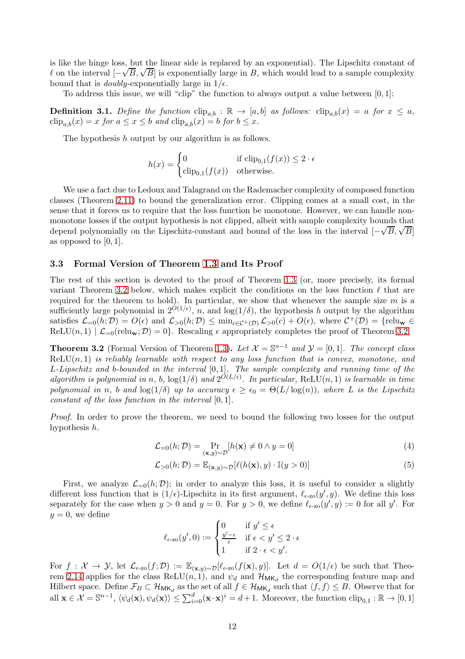is like the hinge loss, but the linear side is replaced by an exponential). The Lipschitz constant of  $\ell$  on the interval  $[-\sqrt{B}, \sqrt{B}]$  is exponentially large in B, which would lead to a sample complexity bound that is *doubly*-exponentially large in  $1/\epsilon$ .

To address this issue, we will "clip" the function to always output a value between  $[0, 1]$ :

**Definition 3.1.** Define the function  $\text{clip}_{a,b} : \mathbb{R} \to [a,b]$  as follows:  $\text{clip}_{a,b}(x) = a$  for  $x \leq a$ ,  $\text{clip}_{a,b}(x) = x$  for  $a \le x \le b$  and  $\text{clip}_{a,b}(x) = b$  for  $b \le x$ .

The hypothesis h output by our algorithm is as follows.

$$
h(x) = \begin{cases} 0 & \text{if } \text{clip}_{0,1}(f(x)) \leq 2 \cdot \epsilon \\ \text{clip}_{0,1}(f(x)) & \text{otherwise.} \end{cases}
$$

We use a fact due to Ledoux and Talagrand on the Rademacher complexity of composed function classes (Theorem [2.11\)](#page-9-2) to bound the generalization error. Clipping comes at a small cost, in the sense that it forces us to require that the loss function be monotone. However, we can handle nonmonotone losses if the output hypothesis is not clipped, albeit with sample complexity bounds that depend polynomially on the Lipschitz-constant and bound of the loss in the interval  $[-\sqrt{B}, \sqrt{B}]$ as opposed to  $[0, 1]$ .

#### 3.3 Formal Version of Theorem [1.3](#page-2-0) and Its Proof

The rest of this section is devoted to the proof of Theorem [1.3](#page-2-0) (or, more precisely, its formal variant Theorem [3.2](#page-12-0) below, which makes explicit the conditions on the loss function  $\ell$  that are required for the theorem to hold). In particular, we show that whenever the sample size  $m$  is a sufficiently large polynomial in  $2^{O(1/\epsilon)}$ , n, and  $\log(1/\delta)$ , the hypothesis h output by the algorithm satisfies  $\mathcal{L}_{=0}(h; \mathcal{D}) = O(\epsilon)$  and  $\mathcal{L}_{>0}(h; \mathcal{D}) \leq \min_{c \in \mathcal{C}^+(\mathcal{D})} \mathcal{L}_{>0}(c) + O(\epsilon)$ , where  $\mathcal{C}^+(\mathcal{D}) = {\text{relu}}_{\mathbf{w}} \in \mathbb{R}$  $\text{ReLU}(n, 1) \mid \mathcal{L}_{=0}(\text{relu}_{\mathbf{w}}; \mathcal{D}) = 0$ . Rescaling  $\epsilon$  appropriately completes the proof of Theorem [3.2.](#page-12-0)

<span id="page-12-0"></span>**Theorem 3.2** (Formal Version of Theorem [1.3\)](#page-2-0). Let  $\mathcal{X} = \mathbb{S}^{n-1}$  and  $\mathcal{Y} = [0, 1]$ . The concept class  $ReLU(n, 1)$  is reliably learnable with respect to any loss function that is convex, monotone, and L-Lipschitz and b-bounded in the interval [0, 1]. The sample complexity and running time of the algorithm is polynomial in n, b,  $\log(1/\delta)$  and  $2^{O(L/\epsilon)}$ . In particular, ReLU(n, 1) is learnable in time polynomial in n, b and  $\log(1/\delta)$  up to accuracy  $\epsilon \geq \epsilon_0 = \Theta(L/\log(n))$ , where L is the Lipschitz constant of the loss function in the interval [0, 1].

Proof. In order to prove the theorem, we need to bound the following two losses for the output hypothesis h.

$$
\mathcal{L}_{=0}(h; \mathcal{D}) = \Pr_{(\mathbf{x}, y) \sim \mathcal{D}}[h(\mathbf{x}) \neq 0 \land y = 0]
$$
\n(4)

$$
\mathcal{L}_{>0}(h; \mathcal{D}) = \mathbb{E}_{(\mathbf{x}, y) \sim \mathcal{D}}[\ell(h(\mathbf{x}), y) \cdot \mathbb{I}(y > 0)] \tag{5}
$$

First, we analyze  $\mathcal{L}_{=0}(h; \mathcal{D})$ ; in order to analyze this loss, it is useful to consider a slightly different loss function that is  $(1/\epsilon)$ -Lipschitz in its first argument,  $\ell_{\epsilon \text{-} zo}(y', y)$ . We define this loss separately for the case when  $y > 0$  and  $y = 0$ . For  $y > 0$ , we define  $\ell_{\epsilon \text{-} zo}(y', y) := 0$  for all y'. For  $y=0$ , we define

$$
\ell_{\epsilon \text{-zo}}(y',0) := \begin{cases} 0 & \text{if } y' \leq \epsilon \\ \frac{y'-\epsilon}{\epsilon} & \text{if } \epsilon < y' \leq 2 \cdot \epsilon \\ 1 & \text{if } 2 \cdot \epsilon < y'. \end{cases}
$$

For  $f: \mathcal{X} \to \mathcal{Y}$ , let  $\mathcal{L}_{\epsilon-z_0}(f; \mathcal{D}) := \mathbb{E}_{(\mathbf{x},y) \sim \mathcal{D}}[\ell_{\epsilon-z_0}(f(\mathbf{x}), y)]$ . Let  $d = O(1/\epsilon)$  be such that Theo-rem [2.14](#page-10-0) applies for the class  $ReLU(n, 1)$ , and  $\psi_d$  and  $\mathcal{H}_{MK_d}$  the corresponding feature map and Hilbert space. Define  $\mathcal{F}_B \subset \mathcal{H}_{MK_d}$  as the set of all  $f \in \mathcal{H}_{MK_d}$  such that  $\langle f, f \rangle \leq B$ . Observe that for all  $\mathbf{x} \in \mathcal{X} = \mathbb{S}^{n-1}$ ,  $\langle \psi_d(\mathbf{x}), \psi_d(\mathbf{x}) \rangle \leq \sum_{i=0}^d (\mathbf{x} \cdot \mathbf{x})^i = d+1$ . Moreover, the function  $\text{clip}_{0,1} : \mathbb{R} \to [0,1]$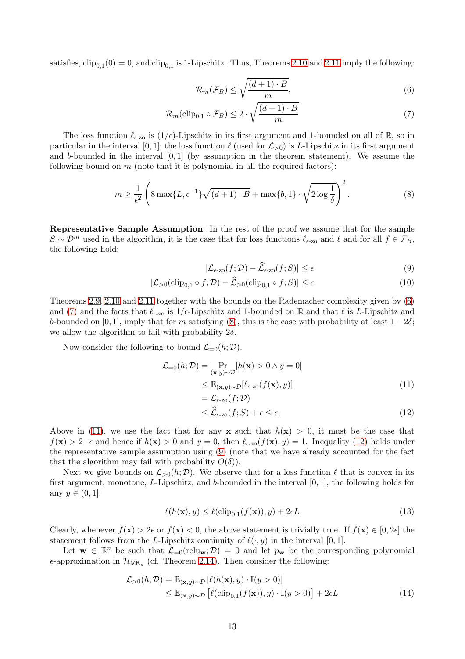satisfies,  $\text{clip}_{0,1}(0) = 0$ , and  $\text{clip}_{0,1}$  is 1-Lipschitz. Thus, Theorems [2.10](#page-9-3) and [2.11](#page-9-2) imply the following:

<span id="page-13-1"></span><span id="page-13-0"></span>
$$
\mathcal{R}_m(\mathcal{F}_B) \le \sqrt{\frac{(d+1)\cdot B}{m}},\tag{6}
$$

$$
\mathcal{R}_m(\text{clip}_{0,1} \circ \mathcal{F}_B) \le 2 \cdot \sqrt{\frac{(d+1) \cdot B}{m}} \tag{7}
$$

The loss function  $\ell_{\epsilon=20}$  is  $(1/\epsilon)$ -Lipschitz in its first argument and 1-bounded on all of R, so in particular in the interval [0, 1]; the loss function  $\ell$  (used for  $\mathcal{L}_{>0}$ ) is L-Lipschitz in its first argument and b-bounded in the interval  $[0, 1]$  (by assumption in the theorem statement). We assume the following bound on  $m$  (note that it is polynomial in all the required factors):

$$
m \ge \frac{1}{\epsilon^2} \left( 8 \max\{L, \epsilon^{-1}\} \sqrt{(d+1) \cdot B} + \max\{b, 1\} \cdot \sqrt{2 \log \frac{1}{\delta}} \right)^2.
$$
 (8)

Representative Sample Assumption: In the rest of the proof we assume that for the sample  $S \sim \mathcal{D}^m$  used in the algorithm, it is the case that for loss functions  $\ell_{\epsilon$ -zo and  $\ell$  and for all  $f \in \mathcal{F}_B$ , the following hold:

<span id="page-13-8"></span><span id="page-13-5"></span><span id="page-13-2"></span>
$$
|\mathcal{L}_{\epsilon\text{-zo}}(f;\mathcal{D}) - \widehat{\mathcal{L}}_{\epsilon\text{-zo}}(f;S)| \le \epsilon
$$
\n(9)

$$
|\mathcal{L}_{>0}(\text{clip}_{0,1} \circ f; \mathcal{D}) - \widehat{\mathcal{L}}_{>0}(\text{clip}_{0,1} \circ f; S)| \le \epsilon
$$
\n(10)

Theorems [2.9,](#page-8-2) [2.10](#page-9-3) and [2.11](#page-9-2) together with the bounds on the Rademacher complexity given by [\(6\)](#page-13-0) and [\(7\)](#page-13-1) and the facts that  $\ell_{\epsilon$ -zo is 1/ $\epsilon$ -Lipschitz and 1-bounded on R and that  $\ell$  is L-Lipschitz and b-bounded on [0, 1], imply that for m satisfying [\(8\)](#page-13-2), this is the case with probability at least  $1-2\delta$ ; we allow the algorithm to fail with probability  $2\delta$ .

Now consider the following to bound  $\mathcal{L}_{=0}(h; \mathcal{D})$ .

$$
\mathcal{L}_{=0}(h; \mathcal{D}) = \Pr_{(\mathbf{x}, y) \sim \mathcal{D}}[h(\mathbf{x}) > 0 \land y = 0]
$$
  
\n
$$
\leq \mathbb{E}_{(\mathbf{x}, y) \sim \mathcal{D}}[\ell_{\epsilon \text{-zo}}(f(\mathbf{x}), y)]
$$
  
\n
$$
= \mathcal{L}_{\epsilon \text{-zo}}(f; \mathcal{D})
$$
\n(11)

<span id="page-13-7"></span><span id="page-13-4"></span><span id="page-13-3"></span>
$$
\leq \widehat{\mathcal{L}}_{\epsilon \text{-zo}}(f;S) + \epsilon \leq \epsilon,\tag{12}
$$

Above in [\(11\)](#page-13-3), we use the fact that for any **x** such that  $h(\mathbf{x}) > 0$ , it must be the case that  $f(\mathbf{x}) > 2 \cdot \epsilon$  and hence if  $h(\mathbf{x}) > 0$  and  $y = 0$ , then  $\ell_{\epsilon \text{-} zo}(f(\mathbf{x}), y) = 1$ . Inequality [\(12\)](#page-13-4) holds under the representative sample assumption using [\(9\)](#page-13-5) (note that we have already accounted for the fact that the algorithm may fail with probability  $O(\delta)$ ).

Next we give bounds on  $\mathcal{L}_{>0}(h;\mathcal{D})$ . We observe that for a loss function  $\ell$  that is convex in its first argument, monotone, L-Lipschitz, and b-bounded in the interval [0, 1], the following holds for any  $y \in (0,1]$ :

<span id="page-13-6"></span>
$$
\ell(h(\mathbf{x}), y) \le \ell(\text{clip}_{0,1}(f(\mathbf{x})), y) + 2\epsilon L
$$
\n(13)

Clearly, whenever  $f(\mathbf{x}) > 2\epsilon$  or  $f(\mathbf{x}) < 0$ , the above statement is trivially true. If  $f(\mathbf{x}) \in [0, 2\epsilon]$  the statement follows from the L-Lipschitz continuity of  $\ell(\cdot, y)$  in the interval [0, 1].

Let  $\mathbf{w} \in \mathbb{R}^n$  be such that  $\mathcal{L}_{=0}(\text{relu}_{\mathbf{w}}; \mathcal{D}) = 0$  and let  $p_{\mathbf{w}}$  be the corresponding polynomial  $\epsilon$ -approximation in  $\mathcal{H}_{MK_d}$  (cf. Theorem [2.14\)](#page-10-0). Then consider the following:

$$
\mathcal{L}_{>0}(h; \mathcal{D}) = \mathbb{E}_{(\mathbf{x}, y) \sim \mathcal{D}} [\ell(h(\mathbf{x}), y) \cdot \mathbb{I}(y > 0)]
$$
  
\n
$$
\leq \mathbb{E}_{(\mathbf{x}, y) \sim \mathcal{D}} [\ell(\text{clip}_{0,1}(f(\mathbf{x})), y) \cdot \mathbb{I}(y > 0)] + 2\epsilon L
$$
\n(14)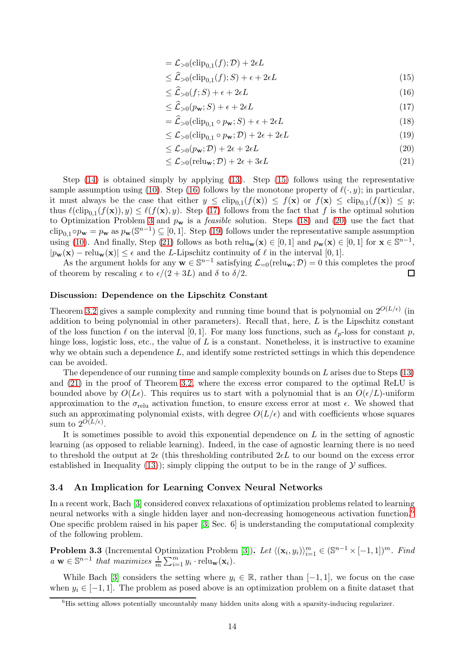<span id="page-14-2"></span><span id="page-14-1"></span>
$$
= \mathcal{L}_{>0}(\text{clip}_{0,1}(f); \mathcal{D}) + 2\epsilon L
$$

- $\leq \mathcal{L}_{>0}(\text{clip}_{0,1}(f); S) + \epsilon + 2\epsilon L$  (15)
- $\leq \widehat{\mathcal{L}}_{>0}(f;S) + \epsilon + 2\epsilon L$  (16)
- <span id="page-14-3"></span> $\leq \widehat{\mathcal{L}}_{>0}(p_{\mathbf{w}}; S) + \epsilon + 2\epsilon L$  (17)
- <span id="page-14-6"></span><span id="page-14-4"></span> $=\widehat{\mathcal{L}}_{>0}(\text{clip}_{0,1} \circ p_{\mathbf{w}}; S) + \epsilon + 2\epsilon L$  (18)
- $\leq \mathcal{L}_{>0}(\text{clip}_{0,1} \circ p_{\mathbf{w}}; \mathcal{D}) + 2\epsilon + 2\epsilon L$  (19)
- $\leq$  L<sub>>0</sub>(p<sub>w</sub>; D) + 2 $\epsilon$  + 2 $\epsilon$ L (20)

<span id="page-14-7"></span><span id="page-14-5"></span>
$$
\leq \mathcal{L}_{>0}(\text{relu}_{\mathbf{w}};\mathcal{D}) + 2\epsilon + 3\epsilon L \tag{21}
$$

Step [\(14\)](#page-13-6) is obtained simply by applying [\(13\)](#page-13-7). Step [\(15\)](#page-14-1) follows using the representative sample assumption using [\(10\)](#page-13-8). Step [\(16\)](#page-14-2) follows by the monotone property of  $\ell(\cdot, y)$ ; in particular, it must always be the case that either  $y \leq \text{clip}_{0,1}(f(\mathbf{x})) \leq f(\mathbf{x})$  or  $f(\mathbf{x}) \leq \text{clip}_{0,1}(f(\mathbf{x})) \leq y$ ; thus  $\ell(\text{clip}_{0,1}(f(\mathbf{x})), y) \leq \ell(f(\mathbf{x}), y)$ . Step [\(17\)](#page-14-3) follows from the fact that f is the optimal solution to Optimization Problem [3](#page-11-0) and  $p_w$  is a *feasible* solution. Steps [\(18\)](#page-14-4) and [\(20\)](#page-14-5) use the fact that clip<sub>0,1</sub>∘ $p_{\bf w} = p_{\bf w}$  as  $p_{\bf w}(\mathbb{S}^{n-1}) \subseteq [0,1]$ . Step [\(19\)](#page-14-6) follows under the representative sample assumption using [\(10\)](#page-13-8). And finally, Step [\(21\)](#page-14-7) follows as both  $relu_w(x) \in [0,1]$  and  $p_w(x) \in [0,1]$  for  $x \in \mathbb{S}^{n-1}$ ,  $|p_{\mathbf{w}}(\mathbf{x}) - \text{relu}_{\mathbf{w}}(\mathbf{x})| \leq \epsilon$  and the L-Lipschitz continuity of  $\ell$  in the interval [0, 1].

As the argument holds for any  $\mathbf{w} \in \mathbb{S}^{n-1}$  satisfying  $\mathcal{L}_{=0}(\text{relu}_{\mathbf{w}}; \mathcal{D}) = 0$  this completes the proof of theorem by rescaling  $\epsilon$  to  $\epsilon/(2+3L)$  and  $\delta$  to  $\delta/2$ .

#### Discussion: Dependence on the Lipschitz Constant

Theorem [3.2](#page-12-0) gives a sample complexity and running time bound that is polynomial on  $2^{O(L/\epsilon)}$  (in addition to being polynomial in other parameters). Recall that, here,  $L$  is the Lipschitz constant of the loss function  $\ell$  on the interval [0, 1]. For many loss functions, such as  $\ell_p$ -loss for constant p, hinge loss, logistic loss, etc., the value of  $L$  is a constant. Nonetheless, it is instructive to examine why we obtain such a dependence  $L$ , and identify some restricted settings in which this dependence can be avoided.

The dependence of our running time and sample complexity bounds on L arises due to Steps [\(13\)](#page-13-7) and [\(21\)](#page-14-7) in the proof of Theorem [3.2,](#page-12-0) where the excess error compared to the optimal ReLU is bounded above by  $O(L\epsilon)$ . This requires us to start with a polynomial that is an  $O(\epsilon/L)$ -uniform approximation to the  $\sigma_{\text{relu}}$  activation function, to ensure excess error at most  $\epsilon$ . We showed that such an approximating polynomial exists, with degree  $O(L/\epsilon)$  and with coefficients whose squares sum to  $2^{O(L/\epsilon)}$ .

It is sometimes possible to avoid this exponential dependence on  $L$  in the setting of agnostic learning (as opposed to reliable learning). Indeed, in the case of agnostic learning there is no need to threshold the output at  $2\epsilon$  (this thresholding contributed  $2\epsilon L$  to our bound on the excess error established in Inequality [\(13\)](#page-13-7)); simply clipping the output to be in the range of  $\mathcal Y$  suffices.

## <span id="page-14-0"></span>3.4 An Implication for Learning Convex Neural Networks

In a recent work, Bach [\[3\]](#page-29-2) considered convex relaxations of optimization problems related to learning neural networks with a single hidden layer and non-decreasing homogeneous activation function.<sup>6</sup> One specific problem raised in his paper [\[3,](#page-29-2) Sec. 6] is understanding the computational complexity of the following problem.

<span id="page-14-8"></span>**Problem 3.3** (Incremental Optimization Problem [\[3\]](#page-29-2)). Let  $\langle (\mathbf{x}_i, y_i) \rangle_{i=1}^m \in (\mathbb{S}^{n-1} \times [-1,1])^m$ . Find  $a \mathbf{w} \in \mathbb{S}^{n-1}$  that maximizes  $\frac{1}{m} \sum_{i=1}^{m} y_i \cdot \text{relu}_{\mathbf{w}}(\mathbf{x}_i)$ .

While Bach [\[3\]](#page-29-2) considers the setting where  $y_i \in \mathbb{R}$ , rather than [-1, 1], we focus on the case when  $y_i \in [-1, 1]$ . The problem as posed above is an optimization problem on a finite dataset that

 ${}^{6}$ His setting allows potentially uncountably many hidden units along with a sparsity-inducing regularizer.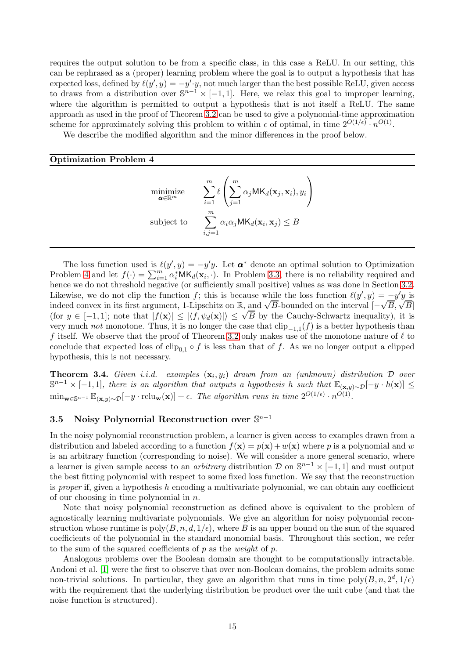requires the output solution to be from a specific class, in this case a ReLU. In our setting, this can be rephrased as a (proper) learning problem where the goal is to output a hypothesis that has expected loss, defined by  $\ell(y', y) = -y' \cdot y$ , not much larger than the best possible ReLU, given access to draws from a distribution over  $\mathbb{S}^{n-1} \times [-1,1]$ . Here, we relax this goal to improper learning, where the algorithm is permitted to output a hypothesis that is not itself a ReLU. The same approach as used in the proof of Theorem [3.2](#page-12-0) can be used to give a polynomial-time approximation scheme for approximately solving this problem to within  $\epsilon$  of optimal, in time  $2^{O(1/\epsilon)} \cdot n^{O(1)}$ .

We describe the modified algorithm and the minor differences in the proof below.

#### <span id="page-15-1"></span>Optimization Problem 4

$$
\begin{aligned}\n\underset{\mathbf{a} \in \mathbb{R}^m}{\text{minimize}} & \sum_{i=1}^m \ell \left( \sum_{j=1}^m \alpha_j \mathsf{MK}_d(\mathbf{x}_j, \mathbf{x}_i), y_i \right) \\
\text{subject to} & \sum_{i,j=1}^m \alpha_i \alpha_j \mathsf{MK}_d(\mathbf{x}_i, \mathbf{x}_j) \leq B\n\end{aligned}
$$

The loss function used is  $\ell(y', y) = -y'y$ . Let  $\alpha^*$  denote an optimal solution to Optimization Problem [4](#page-15-1) and let  $f(\cdot) = \sum_{i=1}^{m} \alpha_i^* M K_d(\mathbf{x}_i, \cdot)$ . In Problem [3.3,](#page-14-8) there is no reliability required and hence we do not threshold negative (or sufficiently small positive) values as was done in Section [3.2.](#page-11-1) Likewise, we do not clip the function f; this is because while the loss function  $\ell(y', y) = -y'y$  is indeed convex in its first argument, 1-Lipschitz on R, and  $\sqrt{B}$ -bounded on the interval  $[-\sqrt{B}, \sqrt{B}]$ (for  $y \in [-1, 1]$ ; note that  $|f(\mathbf{x})| \leq |\langle f, \psi_d(\mathbf{x})| \rangle \leq \sqrt{B}$  by the Cauchy-Schwartz inequality), it is very much *not* monotone. Thus, it is no longer the case that  $\text{clip}_{-1,1}(f)$  is a better hypothesis than f itself. We observe that the proof of Theorem [3.2](#page-12-0) only makes use of the monotone nature of  $\ell$  to conclude that expected loss of clip<sub>0,1</sub> ◦ f is less than that of f. As we no longer output a clipped hypothesis, this is not necessary.

**Theorem 3.4.** Given i.i.d. examples  $(\mathbf{x}_i, y_i)$  drawn from an (unknown) distribution  $D$  over  $\mathbb{S}^{n-1}\times[-1,1],$  there is an algorithm that outputs a hypothesis h such that  $\mathbb{E}_{(\mathbf{x},y)\sim\mathcal{D}}[-y\cdot h(\mathbf{x})]\leq$  $\min_{\mathbf{w}\in\mathbb{S}^{n-1}} \mathbb{E}_{(\mathbf{x},y)\sim\mathcal{D}}[-y\cdot \text{relu}_{\mathbf{w}}(\mathbf{x})] + \epsilon$ . The algorithm runs in time  $2^{O(1/\epsilon)} \cdot n^{O(1)}$ .

## <span id="page-15-0"></span>3.5 Noisy Polynomial Reconstruction over  $\mathbb{S}^{n-1}$

In the noisy polynomial reconstruction problem, a learner is given access to examples drawn from a distribution and labeled according to a function  $f(\mathbf{x}) = p(\mathbf{x}) + w(\mathbf{x})$  where p is a polynomial and w is an arbitrary function (corresponding to noise). We will consider a more general scenario, where a learner is given sample access to an *arbitrary* distribution  $D$  on  $\mathbb{S}^{n-1} \times [-1,1]$  and must output the best fitting polynomial with respect to some fixed loss function. We say that the reconstruction is proper if, given a hypothesis h encoding a multivariate polynomial, we can obtain any coefficient of our choosing in time polynomial in  $n$ .

Note that noisy polynomial reconstruction as defined above is equivalent to the problem of agnostically learning multivariate polynomials. We give an algorithm for noisy polynomial reconstruction whose runtime is  $\text{poly}(B, n, d, 1/\epsilon)$ , where B is an upper bound on the sum of the squared coefficients of the polynomial in the standard monomial basis. Throughout this section, we refer to the sum of the squared coefficients of  $p$  as the *weight* of  $p$ .

Analogous problems over the Boolean domain are thought to be computationally intractable. Andoni et al. [\[1\]](#page-29-6) were the first to observe that over non-Boolean domains, the problem admits some non-trivial solutions. In particular, they gave an algorithm that runs in time  $poly(B, n, 2^d, 1/\epsilon)$ with the requirement that the underlying distribution be product over the unit cube (and that the noise function is structured).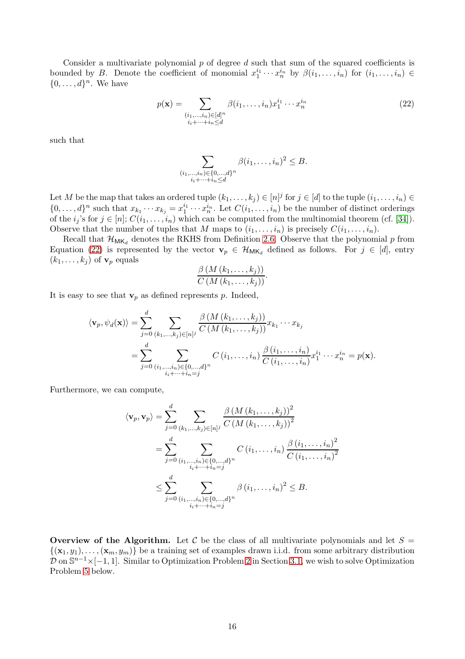Consider a multivariate polynomial  $p$  of degree  $d$  such that sum of the squared coefficients is bounded by B. Denote the coefficient of monomial  $x_1^{i_1} \cdots x_n^{i_n}$  by  $\beta(i_1, \ldots, i_n)$  for  $(i_1, \ldots, i_n) \in$  $\{0, \ldots, d\}^n$ . We have

$$
p(\mathbf{x}) = \sum_{\substack{(i_1,\ldots,i_n)\in[d]^n\\i_i+\cdots+i_n\leq d}} \beta(i_1,\ldots,i_n)x_1^{i_1}\cdots x_n^{i_n}
$$
(22)

such that

<span id="page-16-0"></span>
$$
\sum_{\substack{(i_1,\ldots,i_n)\in\{0,\ldots,d\}^n\\i_i+\cdots+i_n\leq d}} \beta(i_1,\ldots,i_n)^2 \leq B.
$$

Let M be the map that takes an ordered tuple  $(k_1, \ldots, k_j) \in [n]^j$  for  $j \in [d]$  to the tuple  $(i_1, \ldots, i_n) \in$  $\{0,\ldots,d\}^n$  such that  $x_{k_1}\cdots x_{k_j}=x_1^{i_1}\cdots x_n^{i_n}$ . Let  $C(i_1,\ldots,i_n)$  be the number of distinct orderings of the  $i_j$ 's for  $j \in [n]$ ;  $C(i_1, \ldots, i_n)$  which can be computed from the multinomial theorem (cf. [\[34\]](#page-30-17)). Observe that the number of tuples that M maps to  $(i_1, \ldots, i_n)$  is precisely  $C(i_1, \ldots, i_n)$ .

Recall that  $\mathcal{H}_{MK_d}$  denotes the RKHS from Definition [2.6.](#page-7-0) Observe that the polynomial p from Equation [\(22\)](#page-16-0) is represented by the vector  $\mathbf{v}_p \in \mathcal{H}_{MK_d}$  defined as follows. For  $j \in [d]$ , entry  $(k_1, \ldots, k_j)$  of  $\mathbf{v}_p$  equals

$$
\frac{\beta\left(M\left(k_1,\ldots,k_j\right)\right)}{C\left(M\left(k_1,\ldots,k_j\right)\right)}.
$$

It is easy to see that  $\mathbf{v}_p$  as defined represents p. Indeed,

$$
\langle \mathbf{v}_p, \psi_d(\mathbf{x}) \rangle = \sum_{j=0}^d \sum_{\substack{(k_1,\ldots,k_j) \in [n]^j}} \frac{\beta \left( M \left( k_1,\ldots,k_j \right) \right)}{C \left( M \left( k_1,\ldots,k_j \right) \right)} x_{k_1} \cdots x_{k_j}
$$
  
= 
$$
\sum_{j=0}^d \sum_{\substack{(i_1,\ldots,i_n) \in \{0,\ldots,d\}^n \\ i_i + \cdots + i_n = j}} C \left( i_1,\ldots,i_n \right) \frac{\beta \left( i_1,\ldots,i_n \right)}{C \left( i_1,\ldots,i_n \right)} x_1^{i_1} \cdots x_n^{i_n} = p(\mathbf{x}).
$$

Furthermore, we can compute,

$$
\langle \mathbf{v}_p, \mathbf{v}_p \rangle = \sum_{j=0}^d \sum_{(k_1, ..., k_j) \in [n]^j} \frac{\beta \left( M \left( k_1, ..., k_j \right) \right)^2}{C \left( M \left( k_1, ..., k_j \right) \right)^2} \n= \sum_{j=0}^d \sum_{\substack{(i_1, ..., i_n) \in \{0, ..., d\}^n \\ i_i + \dots + i_n = j}} C \left( i_1, ..., i_n \right) \frac{\beta \left( i_1, ..., i_n \right)^2}{C \left( i_1, ..., i_n \right)^2} \n\leq \sum_{j=0}^d \sum_{\substack{(i_1, ..., i_n) \in \{0, ..., d\}^n \\ i_i + \dots + i_n = j}} \beta \left( i_1, ..., i_n \right)^2 \leq B.
$$

Overview of the Algorithm. Let C be the class of all multivariate polynomials and let  $S =$  $\{(\mathbf{x}_1, y_1), \ldots, (\mathbf{x}_m, y_m)\}\$ be a training set of examples drawn i.i.d. from some arbitrary distribution  $\mathcal{D}$  on  $\mathbb{S}^{n-1}\times[-1,1]$ . Similar to Optimization Problem [2](#page-10-1) in Section [3.1,](#page-10-2) we wish to solve Optimization Problem [5](#page-17-0) below.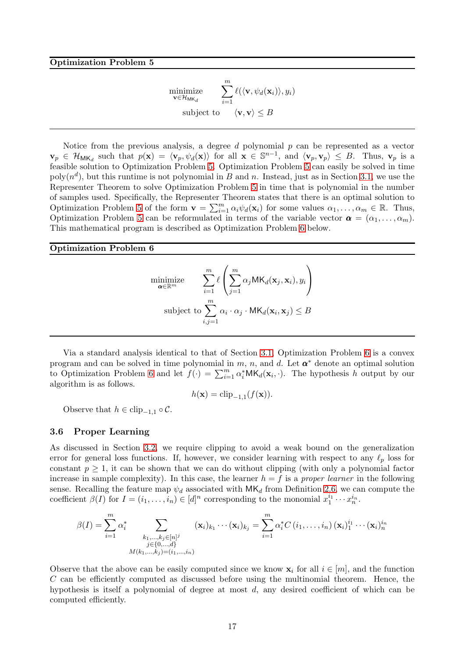$$
\begin{aligned}\n\underset{\mathbf{v} \in \mathcal{H}_{\text{MK}_d}}{\text{minimize}} & & & \sum_{i=1}^m \ell(\langle \mathbf{v}, \psi_d(\mathbf{x}_i) \rangle, y_i) \\
\text{subject to} & & & \langle \mathbf{v}, \mathbf{v} \rangle \leq B\n\end{aligned}
$$

<span id="page-17-0"></span>Notice from the previous analysis, a degree  $d$  polynomial  $p$  can be represented as a vector  $\mathbf{v}_p \in \mathcal{H}_{\mathsf{MK}_d}$  such that  $p(\mathbf{x}) = \langle \mathbf{v}_p, \psi_d(\mathbf{x}) \rangle$  for all  $\mathbf{x} \in \mathbb{S}^{n-1}$ , and  $\langle \mathbf{v}_p, \mathbf{v}_p \rangle \leq B$ . Thus,  $\mathbf{v}_p$  is a feasible solution to Optimization Problem [5.](#page-17-0) Optimization Problem [5](#page-17-0) can easily be solved in time  $\text{poly}(n^d)$ , but this runtime is not polynomial in B and n. Instead, just as in Section [3.1,](#page-10-2) we use the Representer Theorem to solve Optimization Problem [5](#page-17-0) in time that is polynomial in the number of samples used. Specifically, the Representer Theorem states that there is an optimal solution to Optimization Problem [5](#page-17-0) of the form  $\mathbf{v} = \sum_{i=1}^{m} \alpha_i \psi_d(\mathbf{x}_i)$  for some values  $\alpha_1, \dots, \alpha_m \in \mathbb{R}$ . Thus, Optimization Problem [5](#page-17-0) can be reformulated in terms of the variable vector  $\boldsymbol{\alpha} = (\alpha_1, \dots, \alpha_m)$ . This mathematical program is described as Optimization Problem [6](#page-17-1) below.

#### <span id="page-17-1"></span>Optimization Problem 6

$$
\underset{\mathbf{a} \in \mathbb{R}^m}{\text{minimize}} \quad \sum_{i=1}^m \ell \left( \sum_{j=1}^m \alpha_j \mathsf{MK}_d(\mathbf{x}_j, \mathbf{x}_i), y_i \right)
$$
\n
$$
\text{subject to } \sum_{i,j=1}^m \alpha_i \cdot \alpha_j \cdot \mathsf{MK}_d(\mathbf{x}_i, \mathbf{x}_j) \leq B
$$

Via a standard analysis identical to that of Section [3.1,](#page-10-2) Optimization Problem [6](#page-17-1) is a convex program and can be solved in time polynomial in  $m$ ,  $n$ , and  $d$ . Let  $\boldsymbol{\alpha}^*$  denote an optimal solution to Optimization Problem [6](#page-17-1) and let  $f(\cdot) = \sum_{i=1}^{m} \alpha_i^* M K_d(\mathbf{x}_i, \cdot)$ . The hypothesis h output by our algorithm is as follows.

$$
h(\mathbf{x}) = \operatorname{clip}_{-1,1}(f(\mathbf{x})).
$$

Observe that  $h \in \text{clip}_{-1,1} \circ \mathcal{C}$ .

#### 3.6 Proper Learning

As discussed in Section [3.2,](#page-11-1) we require clipping to avoid a weak bound on the generalization error for general loss functions. If, however, we consider learning with respect to any  $\ell_p$  loss for constant  $p \geq 1$ , it can be shown that we can do without clipping (with only a polynomial factor increase in sample complexity). In this case, the learner  $h = f$  is a proper learner in the following sense. Recalling the feature map  $\psi_d$  associated with  $MK_d$  from Definition [2.6,](#page-7-0) we can compute the coefficient  $\beta(I)$  for  $I = (i_1, \ldots, i_n) \in [d]^n$  corresponding to the monomial  $x_1^{i_1} \cdots x_n^{i_n}$ .

$$
\beta(I) = \sum_{i=1}^{m} \alpha_i^* \sum_{\substack{k_1, ..., k_j \in [n]^j \\ j \in \{0, ..., d\} \\ M(k_1, ..., k_j) = (i_1, ..., i_n)}} (\mathbf{x}_i)_{k_1} \cdots (\mathbf{x}_i)_{k_j} = \sum_{i=1}^{m} \alpha_i^* C(i_1, ..., i_n) (\mathbf{x}_i)_{1}^{i_1} \cdots (\mathbf{x}_i)_{n}^{i_n}
$$

Observe that the above can be easily computed since we know  $\mathbf{x}_i$  for all  $i \in [m]$ , and the function  $C$  can be efficiently computed as discussed before using the multinomial theorem. Hence, the hypothesis is itself a polynomial of degree at most d, any desired coefficient of which can be computed efficiently.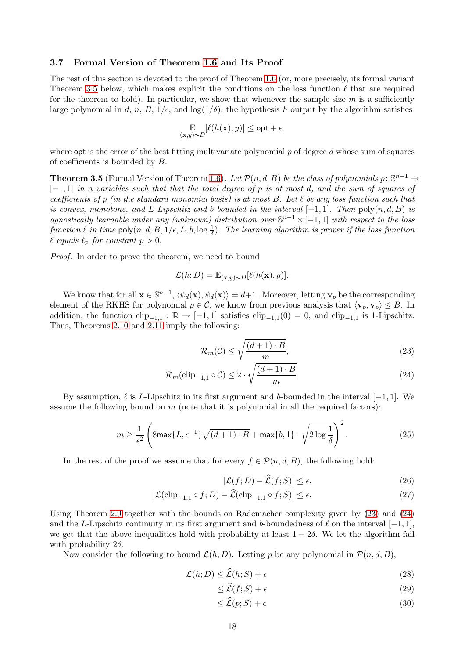### 3.7 Formal Version of Theorem [1.6](#page-3-0) and Its Proof

The rest of this section is devoted to the proof of Theorem [1.6](#page-3-0) (or, more precisely, its formal variant Theorem [3.5](#page-18-0) below, which makes explicit the conditions on the loss function  $\ell$  that are required for the theorem to hold). In particular, we show that whenever the sample size  $m$  is a sufficiently large polynomial in d, n, B,  $1/\epsilon$ , and  $\log(1/\delta)$ , the hypothesis h output by the algorithm satisfies

$$
\mathop{\mathbb{E}}_{(\mathbf{x},y)\sim D}[\ell(h(\mathbf{x}),y)] \leq \mathsf{opt} + \epsilon.
$$

where **opt** is the error of the best fitting multivariate polynomial  $p$  of degree  $d$  whose sum of squares of coefficients is bounded by B.

<span id="page-18-0"></span>**Theorem 3.5** (Formal Version of Theorem [1.6\)](#page-3-0). Let  $\mathcal{P}(n, d, B)$  be the class of polynomials  $p: \mathbb{S}^{n-1} \to$  $[-1, 1]$  in n variables such that that the total degree of p is at most d, and the sum of squares of coefficients of p (in the standard monomial basis) is at most B. Let  $\ell$  be any loss function such that is convex, monotone, and L-Lipschitz and b-bounded in the interval  $[-1, 1]$ . Then  $\text{poly}(n, d, B)$  is agnostically learnable under any (unknown) distribution over  $\mathbb{S}^{n-1}\times[-1,1]$  with respect to the loss function  $\ell$  in time  $\mathsf{poly}(n,d,B,1/\epsilon,L,b,\log\frac{1}{\delta})$ . The learning algorithm is proper if the loss function  $\ell$  equals  $\ell_p$  for constant  $p > 0$ .

Proof. In order to prove the theorem, we need to bound

$$
\mathcal{L}(h;D) = \mathbb{E}_{(\mathbf{x},y)\sim D}[\ell(h(\mathbf{x}),y)].
$$

We know that for all  $\mathbf{x} \in \mathbb{S}^{n-1}$ ,  $\langle \psi_d(\mathbf{x}), \psi_d(\mathbf{x}) \rangle = d+1$ . Moreover, letting  $\mathbf{v}_p$  be the corresponding element of the RKHS for polynomial  $p \in \mathcal{C}$ , we know from previous analysis that  $\langle v_p, v_p \rangle \leq B$ . In addition, the function  $\text{clip}_{-1,1} : \mathbb{R} \to [-1,1]$  satisfies  $\text{clip}_{-1,1}(0) = 0$ , and  $\text{clip}_{-1,1}$  is 1-Lipschitz. Thus, Theorems [2.10](#page-9-3) and [2.11](#page-9-2) imply the following:

<span id="page-18-2"></span><span id="page-18-1"></span>
$$
\mathcal{R}_m(\mathcal{C}) \le \sqrt{\frac{(d+1)\cdot B}{m}},\tag{23}
$$

$$
\mathcal{R}_m(\text{clip}_{-1,1} \circ \mathcal{C}) \le 2 \cdot \sqrt{\frac{(d+1) \cdot B}{m}}.
$$
\n(24)

By assumption,  $\ell$  is L-Lipschitz in its first argument and b-bounded in the interval [−1, 1]. We assume the following bound on  $m$  (note that it is polynomial in all the required factors):

$$
m \ge \frac{1}{\epsilon^2} \left( 8\max\{L, \epsilon^{-1}\} \sqrt{(d+1) \cdot B} + \max\{b, 1\} \cdot \sqrt{2\log\frac{1}{\delta}} \right)^2.
$$
 (25)

In the rest of the proof we assume that for every  $f \in \mathcal{P}(n, d, B)$ , the following hold:

<span id="page-18-7"></span><span id="page-18-4"></span>
$$
|\mathcal{L}(f;D) - \widehat{\mathcal{L}}(f;S)| \le \epsilon. \tag{26}
$$

$$
|\mathcal{L}(\text{clip}_{-1,1} \circ f; D) - \widehat{\mathcal{L}}(\text{clip}_{-1,1} \circ f; S)| \le \epsilon.
$$
 (27)

Using Theorem [2.9](#page-8-2) together with the bounds on Rademacher complexity given by [\(23\)](#page-18-1) and [\(24\)](#page-18-2) and the L-Lipschitz continuity in its first argument and b-boundedness of  $\ell$  on the interval  $[-1, 1]$ , we get that the above inequalities hold with probability at least  $1 - 2\delta$ . We let the algorithm fail with probability  $2\delta$ .

Now consider the following to bound  $\mathcal{L}(h; D)$ . Letting p be any polynomial in  $\mathcal{P}(n, d, B)$ ,

$$
\mathcal{L}(h;D) \le \widehat{\mathcal{L}}(h;S) + \epsilon \tag{28}
$$

$$
\leq \widehat{\mathcal{L}}(f;S) + \epsilon \tag{29}
$$

<span id="page-18-6"></span><span id="page-18-5"></span><span id="page-18-3"></span>
$$
\leq \mathcal{L}(p;S) + \epsilon \tag{30}
$$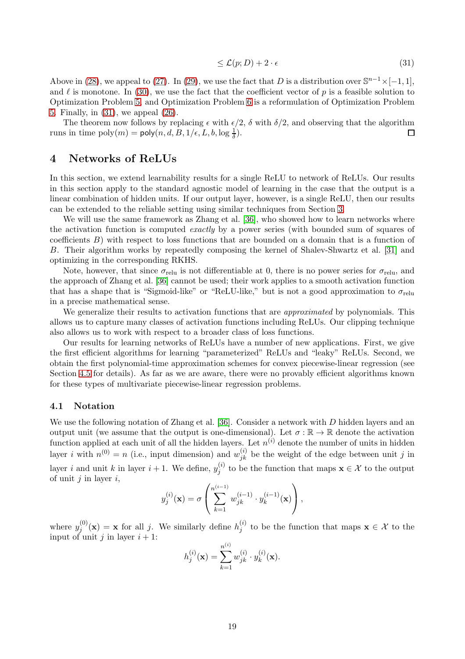<span id="page-19-1"></span>
$$
\leq \mathcal{L}(p;D) + 2 \cdot \epsilon \tag{31}
$$

Above in [\(28\)](#page-18-3), we appeal to [\(27\)](#page-18-4). In [\(29\)](#page-18-5), we use the fact that D is a distribution over  $\mathbb{S}^{n-1}\times[-1,1]$ , and  $\ell$  is monotone. In [\(30\)](#page-18-6), we use the fact that the coefficient vector of p is a feasible solution to Optimization Problem [5,](#page-17-0) and Optimization Problem [6](#page-17-1) is a reformulation of Optimization Problem [5.](#page-17-0) Finally, in [\(31\)](#page-19-1), we appeal [\(26\)](#page-18-7).

The theorem now follows by replacing  $\epsilon$  with  $\epsilon/2$ ,  $\delta$  with  $\delta/2$ , and observing that the algorithm runs in time  $\text{poly}(m) = \text{poly}(n, d, B, 1/\epsilon, L, b, \log \frac{1}{\delta}).$ П

## <span id="page-19-0"></span>4 Networks of ReLUs

In this section, we extend learnability results for a single ReLU to network of ReLUs. Our results in this section apply to the standard agnostic model of learning in the case that the output is a linear combination of hidden units. If our output layer, however, is a single ReLU, then our results can be extended to the reliable setting using similar techniques from Section [3.](#page-10-3)

We will use the same framework as Zhang et al. [\[36\]](#page-30-10), who showed how to learn networks where the activation function is computed exactly by a power series (with bounded sum of squares of coefficients B) with respect to loss functions that are bounded on a domain that is a function of B. Their algorithm works by repeatedly composing the kernel of Shalev-Shwartz et al. [\[31\]](#page-30-5) and optimizing in the corresponding RKHS.

Note, however, that since  $\sigma_{\text{relu}}$  is not differentiable at 0, there is no power series for  $\sigma_{\text{relu}}$ , and the approach of Zhang et al. [\[36\]](#page-30-10) cannot be used; their work applies to a smooth activation function that has a shape that is "Sigmoid-like" or "ReLU-like," but is not a good approximation to  $\sigma_{\text{relu}}$ in a precise mathematical sense.

We generalize their results to activation functions that are *approximated* by polynomials. This allows us to capture many classes of activation functions including ReLUs. Our clipping technique also allows us to work with respect to a broader class of loss functions.

Our results for learning networks of ReLUs have a number of new applications. First, we give the first efficient algorithms for learning "parameterized" ReLUs and "leaky" ReLUs. Second, we obtain the first polynomial-time approximation schemes for convex piecewise-linear regression (see Section [4.5](#page-24-0) for details). As far as we are aware, there were no provably efficient algorithms known for these types of multivariate piecewise-linear regression problems.

## 4.1 Notation

We use the following notation of Zhang et al. [\[36\]](#page-30-10). Consider a network with D hidden layers and an output unit (we assume that the output is one-dimensional). Let  $\sigma : \mathbb{R} \to \mathbb{R}$  denote the activation function applied at each unit of all the hidden layers. Let  $n^{(i)}$  denote the number of units in hidden layer *i* with  $n^{(0)} = n$  (i.e., input dimension) and  $w_{jk}^{(i)}$  be the weight of the edge between unit *j* in layer *i* and unit *k* in layer  $i + 1$ . We define,  $y_i^{(i)}$  $j^{(i)}$  to be the function that maps  $\mathbf{x} \in \mathcal{X}$  to the output of unit  $i$  in layer  $i$ ,

$$
y_j^{(i)}(\mathbf{x}) = \sigma \left( \sum_{k=1}^{n^{(i-1)}} w_{jk}^{(i-1)} \cdot y_k^{(i-1)}(\mathbf{x}) \right),
$$

where  $y_i^{(0)}$  $j^{(0)}(x) = x$  for all j. We similarly define  $h_j^{(i)}$  $j^{(i)}$  to be the function that maps  $\mathbf{x} \in \mathcal{X}$  to the input of unit j in layer  $i + 1$ :  $\sqrt{ }$ 

$$
h_j^{(i)}(\mathbf{x}) = \sum_{k=1}^{n^{(i)}} w_{jk}^{(i)} \cdot y_k^{(i)}(\mathbf{x}).
$$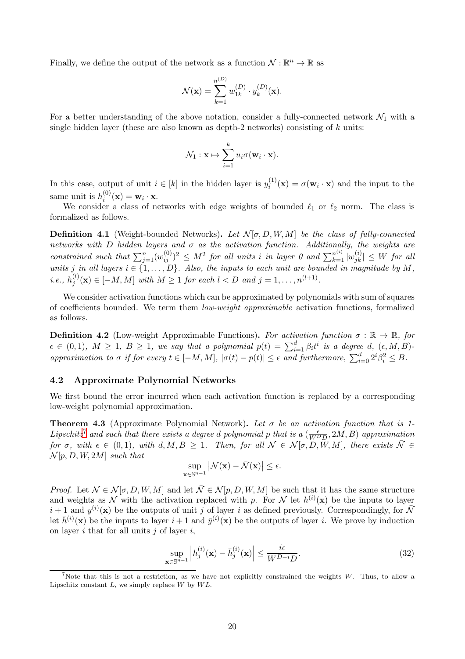Finally, we define the output of the network as a function  $\mathcal{N}: \mathbb{R}^n \to \mathbb{R}$  as

$$
\mathcal{N}(\mathbf{x}) = \sum_{k=1}^{n^{(D)}} w_{1k}^{(D)} \cdot y_k^{(D)}(\mathbf{x}).
$$

For a better understanding of the above notation, consider a fully-connected network  $\mathcal{N}_1$  with a single hidden layer (these are also known as depth-2 networks) consisting of  $k$  units:

$$
\mathcal{N}_1: \mathbf{x} \mapsto \sum_{i=1}^k u_i \sigma(\mathbf{w}_i \cdot \mathbf{x}).
$$

In this case, output of unit  $i \in [k]$  in the hidden layer is  $y_i^{(1)}$  $i_i^{(1)}(\mathbf{x}) = \sigma(\mathbf{w}_i \cdot \mathbf{x})$  and the input to the same unit is  $h_i^{(0)}$  $i^{(0)}(\mathbf{x}) = \mathbf{w}_i \cdot \mathbf{x}.$ 

We consider a class of networks with edge weights of bounded  $\ell_1$  or  $\ell_2$  norm. The class is formalized as follows.

**Definition 4.1** (Weight-bounded Networks). Let  $\mathcal{N}[\sigma, D, W, M]$  be the class of fully-connected networks with D hidden layers and  $\sigma$  as the activation function. Additionally, the weights are constrained such that  $\sum_{j=1}^{n} (w_{ij}^{(0)})^2 \leq M^2$  for all units i in layer 0 and  $\sum_{k=1}^{n^{(i)}} |w_{jk}^{(i)}| \leq W$  for all units j in all layers  $i \in \{1, \ldots, D\}$ . Also, the inputs to each unit are bounded in magnitude by M,  $i.e., h_i^{(l)}$  $j^{(l)}(x) \in [-M, M]$  with  $M \ge 1$  for each  $l < D$  and  $j = 1, ..., n^{(l+1)}$ .

We consider activation functions which can be approximated by polynomials with sum of squares of coefficients bounded. We term them low-weight approximable activation functions, formalized as follows.

<span id="page-20-2"></span>**Definition 4.2** (Low-weight Approximable Functions). For activation function  $\sigma : \mathbb{R} \to \mathbb{R}$ , for  $\epsilon \in (0,1), M \ge 1, B \ge 1$ , we say that a polynomial  $p(t) = \sum_{i=1}^{d} \beta_i t^i$  is a degree d,  $(\epsilon, M, B)$ approximation to  $\sigma$  if for every  $t \in [-M, M]$ ,  $|\sigma(t) - p(t)| \leq \epsilon$  and furthermore,  $\sum_{i=0}^{d} 2^{i} \beta_i^2 \leq B$ .

## 4.2 Approximate Polynomial Networks

We first bound the error incurred when each activation function is replaced by a corresponding low-weight polynomial approximation.

<span id="page-20-1"></span>**Theorem 4.3** (Approximate Polynomial Network). Let  $\sigma$  be an activation function that is 1-Lipschitz<sup>7</sup> and such that there exists a degree d polynomial p that is a  $(\frac{\epsilon}{WDD}, 2M, B)$  approximation for  $\sigma$ , with  $\epsilon \in (0,1)$ , with  $d, M, B \ge 1$ . Then, for all  $\mathcal{N} \in \mathcal{N}[\sigma, D, W, M]$ , there exists  $\bar{\mathcal{N}} \in$  $\mathcal{N}[p, D, W, 2M]$  such that

$$
\sup_{\mathbf{x}\in\mathbb{S}^{n-1}}\left|\mathcal{N}(\mathbf{x})-\bar{\mathcal{N}}(\mathbf{x})\right|\leq\epsilon.
$$

*Proof.* Let  $\mathcal{N} \in \mathcal{N}[\sigma, D, W, M]$  and let  $\overline{\mathcal{N}} \in \mathcal{N}[p, D, W, M]$  be such that it has the same structure and weights as N with the activation replaced with p. For N let  $h^{(i)}(\mathbf{x})$  be the inputs to layer  $i + 1$  and  $y^{(i)}(\mathbf{x})$  be the outputs of unit j of layer i as defined previously. Correspondingly, for  $\bar{\mathcal{N}}$ let  $\bar{h}^{(i)}(\mathbf{x})$  be the inputs to layer  $i+1$  and  $\bar{y}^{(i)}(\mathbf{x})$  be the outputs of layer i. We prove by induction on layer  $i$  that for all units  $j$  of layer  $i$ ,

<span id="page-20-0"></span>
$$
\sup_{\mathbf{x}\in\mathbb{S}^{n-1}}\left|h_j^{(i)}(\mathbf{x})-\bar{h}_j^{(i)}(\mathbf{x})\right|\leq \frac{i\epsilon}{W^{D-i}D}.\tag{32}
$$

<sup>&</sup>lt;sup>7</sup>Note that this is not a restriction, as we have not explicitly constrained the weights  $W$ . Thus, to allow a Lipschitz constant  $L$ , we simply replace  $W$  by  $WL$ .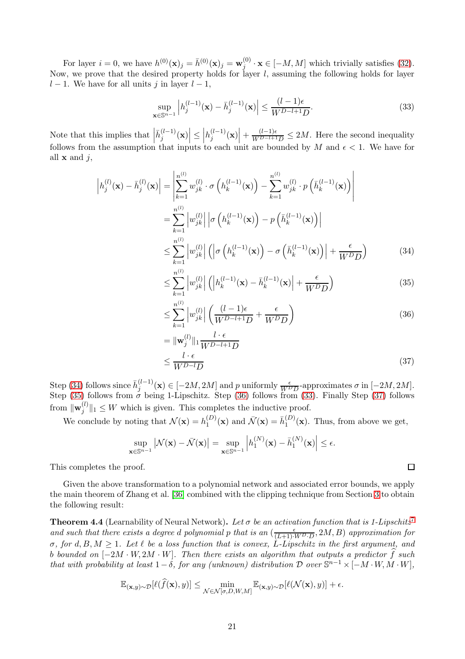For layer  $i = 0$ , we have  $h^{(0)}(\mathbf{x})_j = \bar{h}^{(0)}(\mathbf{x})_j = \mathbf{w}_j^{(0)}$  $j^{(0)}$   $\cdot$  **x**  $\in$  [-M, M] which trivially satisfies [\(32\)](#page-20-0). Now, we prove that the desired property holds for layer  $l$ , assuming the following holds for layer  $l - 1$ . We have for all units j in layer  $l - 1$ ,

<span id="page-21-3"></span>
$$
\sup_{\mathbf{x}\in\mathbb{S}^{n-1}}\left|h_j^{(l-1)}(\mathbf{x})-\bar{h}_j^{(l-1)}(\mathbf{x})\right|\leq\frac{(l-1)\epsilon}{W^{D-l+1}D}.\tag{33}
$$

Note that this implies that  $\left| \bar{h}_j^{(l-1)}(\mathbf{x}) \right| \leq$  $|h_j^{(l-1)}(\mathbf{x})| + \frac{(l-1)\epsilon}{W^{D-l+1}D} \leq 2M$ . Here the second inequality follows from the assumption that inputs to each unit are bounded by M and  $\epsilon$  < 1. We have for all  $x$  and  $j$ ,

$$
\left| h_j^{(l)}(\mathbf{x}) - \bar{h}_j^{(l)}(\mathbf{x}) \right| = \left| \sum_{k=1}^{n^{(l)}} w_{jk}^{(l)} \cdot \sigma \left( h_k^{(l-1)}(\mathbf{x}) \right) - \sum_{k=1}^{n^{(l)}} w_{jk}^{(l)} \cdot p \left( \bar{h}_k^{(l-1)}(\mathbf{x}) \right) \right|
$$
  
\n
$$
= \sum_{k=1}^{n^{(l)}} \left| w_{jk}^{(l)} \right| \left| \sigma \left( h_k^{(l-1)}(\mathbf{x}) \right) - p \left( \bar{h}_k^{(l-1)}(\mathbf{x}) \right) \right|
$$
  
\n
$$
\leq \sum_{k=1}^{n^{(l)}} \left| w_{jk}^{(l)} \right| \left( \left| \sigma \left( h_k^{(l-1)}(\mathbf{x}) \right) - \sigma \left( \bar{h}_k^{(l-1)}(\mathbf{x}) \right) \right| + \frac{\epsilon}{W^D D} \right)
$$
(34)

$$
\leq \sum_{k=1}^{n^{(l)}} \left| w_{jk}^{(l)} \right| \left( \left| h_k^{(l-1)}(\mathbf{x}) - \bar{h}_k^{(l-1)}(\mathbf{x}) \right| + \frac{\epsilon}{W^D D} \right) \tag{35}
$$

$$
\leq \sum_{k=1}^{n^{(l)}} \left| w_{jk}^{(l)} \right| \left( \frac{(l-1)\epsilon}{W^{D-l+1}D} + \frac{\epsilon}{W^D D} \right) \tag{36}
$$

$$
= \|\mathbf{w}_{j}^{(l)}\|_{1} \frac{l \cdot \epsilon}{W^{D-l+1}D}
$$
  

$$
\leq \frac{l \cdot \epsilon}{W^{D-l}D}
$$
 (37)

Step [\(34\)](#page-21-0) follows since  $\bar{h}_j^{(l-1)}(\mathbf{x}) \in [-2M, 2M]$  and p uniformly  $\frac{\epsilon}{W^D D}$ -approximates  $\sigma$  in  $[-2M, 2M]$ . Step [\(35\)](#page-21-1) follows from  $\sigma$  being 1-Lipschitz. Step [\(36\)](#page-21-2) follows from [\(33\)](#page-21-3). Finally Step [\(37\)](#page-21-4) follows from  $\|\mathbf{w}_j^{(l)}\>$  $\|f_j^{(t)}\|_1 \leq W$  which is given. This completes the inductive proof.

We conclude by noting that  $\mathcal{N}(\mathbf{x}) = h_1^{(D)}$  $\bar{\Lambda}_1^{(D)}(\mathbf{x})$  and  $\bar{\mathcal{N}}(\mathbf{x}) = \bar{h}_1^{(D)}$  $1^{(D)}(x)$ . Thus, from above we get,

$$
\sup_{\mathbf{x}\in\mathbb{S}^{n-1}}\left|\mathcal{N}(\mathbf{x})-\bar{\mathcal{N}}(\mathbf{x})\right|=\sup_{\mathbf{x}\in\mathbb{S}^{n-1}}\left|h_1^{(N)}(\mathbf{x})-\bar{h}_1^{(N)}(\mathbf{x})\right|\leq\epsilon.
$$

This completes the proof.

Given the above transformation to a polynomial network and associated error bounds, we apply the main theorem of Zhang et al. [\[36\]](#page-30-10) combined with the clipping technique from Section [3](#page-10-3) to obtain the following result:

<span id="page-21-5"></span>**Theorem 4.4** (Learnability of Neural Network). Let  $\sigma$  be an activation function that is 1-Lipschitz<sup>[7](#page-20-1)</sup> and such that there exists a degree d polynomial p that is an  $\left(\frac{\epsilon}{(L+1)\cdot WD \cdot D}, 2M, B\right)$  approximation for σ, for d, B, M  $\geq$  1. Let  $\ell$  be a loss function that is convex, L-Lipschitz in the first argument, and b bounded on  $[-2M \cdot W, 2M \cdot W]$ . Then there exists an algorithm that outputs a predictor  $\widehat{f}$  such that with probability at least  $1-\delta$ , for any (unknown) distribution  $\mathcal D$  over  $\mathbb S^{n-1}\times[-M\cdot W, M\cdot W]$ ,

$$
\mathbb{E}_{(\mathbf{x},y)\sim\mathcal{D}}[\ell(\widehat{f}(\mathbf{x}),y)] \leq \min_{\mathcal{N}\in\mathcal{N}[\sigma,D,W,M]} \mathbb{E}_{(\mathbf{x},y)\sim\mathcal{D}}[\ell(\mathcal{N}(\mathbf{x}),y)] + \epsilon.
$$

<span id="page-21-4"></span><span id="page-21-2"></span><span id="page-21-1"></span><span id="page-21-0"></span> $\Box$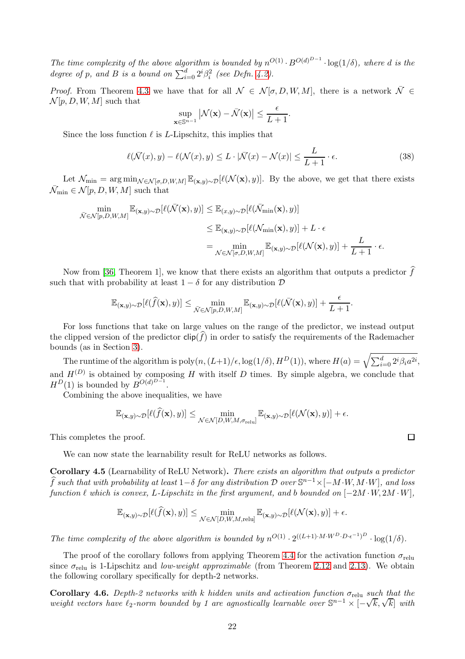The time complexity of the above algorithm is bounded by  $n^{O(1)} \cdot B^{O(d)^{D-1}} \cdot \log(1/\delta)$ , where d is the degree of p, and B is a bound on  $\sum_{i=0}^{d} 2^{i} \beta_i^2$  (see Defn. [4.2\)](#page-20-2).

*Proof.* From Theorem [4.3](#page-20-1) we have that for all  $\mathcal{N} \in \mathcal{N}[\sigma, D, W, M]$ , there is a network  $\overline{\mathcal{N}} \in \mathcal{N}$  $\mathcal{N}[p, D, W, M]$  such that

$$
\sup_{\mathbf{x}\in\mathbb{S}^{n-1}}\big|\mathcal{N}(\mathbf{x})-\bar{\mathcal{N}}(\mathbf{x})\big|\leq\frac{\epsilon}{L+1}.
$$

Since the loss function  $\ell$  is L-Lipschitz, this implies that

$$
\ell(\bar{\mathcal{N}}(x), y) - \ell(\mathcal{N}(x), y) \le L \cdot |\bar{\mathcal{N}}(x) - \mathcal{N}(x)| \le \frac{L}{L+1} \cdot \epsilon.
$$
\n(38)

Let  $\mathcal{N}_{\min} = \arg \min_{\mathcal{N} \in \mathcal{N}[\sigma, D, W, M]} \mathbb{E}_{(\mathbf{x}, y) \sim \mathcal{D}}[\ell(\mathcal{N}(\mathbf{x}), y)].$  By the above, we get that there exists  $\bar{\mathcal{N}}_{\min} \in \mathcal{N}[p, D, W, M]$  such that

$$
\min_{\bar{\mathcal{N}} \in \mathcal{N}[p,D,W,M]} \mathbb{E}_{(\mathbf{x},y) \sim \mathcal{D}}[\ell(\bar{\mathcal{N}}(\mathbf{x}), y)] \leq \mathbb{E}_{(x,y) \sim \mathcal{D}}[\ell(\bar{\mathcal{N}}_{\min}(\mathbf{x}), y)]
$$
\n
$$
\leq \mathbb{E}_{(\mathbf{x},y) \sim \mathcal{D}}[\ell(\mathcal{N}_{\min}(\mathbf{x}), y)] + L \cdot \epsilon
$$
\n
$$
= \min_{\mathcal{N} \in \mathcal{N}[\sigma, D, W, M]} \mathbb{E}_{(\mathbf{x},y) \sim \mathcal{D}}[\ell(\mathcal{N}(\mathbf{x}), y)] + \frac{L}{L+1} \cdot \epsilon.
$$

Now from [\[36,](#page-30-10) Theorem 1], we know that there exists an algorithm that outputs a predictor  $\widehat{f}$ such that with probability at least  $1 - \delta$  for any distribution  $\mathcal D$ 

$$
\mathbb{E}_{(\mathbf{x},y)\sim\mathcal{D}}[\ell(\widehat{f}(\mathbf{x}),y)] \leq \min_{\bar{\mathcal{N}}\in\mathcal{N}[p,D,W,M]}\mathbb{E}_{(\mathbf{x},y)\sim\mathcal{D}}[\ell(\bar{\mathcal{N}}(\mathbf{x}),y)] + \frac{\epsilon}{L+1}.
$$

For loss functions that take on large values on the range of the predictor, we instead output the clipped version of the predictor  $\text{clip}(f)$  in order to satisfy the requirements of the Rademacher bounds (as in Section [3\)](#page-10-3).

The runtime of the algorithm is  $\text{poly}(n,(L+1)/\epsilon,\log(1/\delta),H^D(1)),$  where  $H(a)=\sqrt{\sum_{i=0}^d2^i\beta_ia^{2i}},$ and  $H^{(D)}$  is obtained by composing H with itself D times. By simple algebra, we conclude that  $H^D(1)$  is bounded by  $B^{O(d)^{D-1}}$ .

Combining the above inequalities, we have

$$
\mathbb{E}_{(\mathbf{x},y)\sim\mathcal{D}}[\ell(\widehat{f}(\mathbf{x}),y)] \leq \min_{\mathcal{N}\in\mathcal{N}[D,W,M,\sigma_{\text{relu}}]} \mathbb{E}_{(\mathbf{x},y)\sim\mathcal{D}}[\ell(\mathcal{N}(\mathbf{x}),y)] + \epsilon.
$$

This completes the proof.

We can now state the learnability result for ReLU networks as follows.

<span id="page-22-0"></span>Corollary 4.5 (Learnability of ReLU Network). There exists an algorithm that outputs a predictor  $\widehat{f}$  such that with probability at least  $1-\delta$  for any distribution D over  $\mathbb{S}^{n-1}\times[-M\cdot W, M\cdot W]$ , and loss function  $\ell$  which is convex, L-Lipschitz in the first argument, and b bounded on  $[-2M \cdot W, 2M \cdot W]$ ,

$$
\mathbb{E}_{(\mathbf{x},y)\sim\mathcal{D}}[\ell(\widehat{f}(\mathbf{x}),y)] \leq \min_{\mathcal{N}\in\mathcal{N}[D,W,M,\text{relu}]} \mathbb{E}_{(\mathbf{x},y)\sim\mathcal{D}}[\ell(\mathcal{N}(\mathbf{x}),y)] + \epsilon.
$$

The time complexity of the above algorithm is bounded by  $n^{O(1)} \cdot 2^{((L+1)\cdot M\cdot W^D\cdot D\cdot \epsilon^{-1})^D} \cdot \log(1/\delta)$ .

The proof of the corollary follows from applying Theorem [4.4](#page-21-5) for the activation function  $\sigma_{\text{relu}}$ since  $\sigma_{\text{relu}}$  is 1-Lipschitz and *low-weight approximable* (from Theorem [2.12](#page-9-0) and [2.13\)](#page-9-1). We obtain the following corollary specifically for depth-2 networks.

**Corollary 4.6.** Depth-2 networks with k hidden units and activation function  $\sigma_{\text{relu}}$  such that the weight vectors have  $\ell_2$ -norm bounded by 1 are agnostically learnable over  $\mathbb{S}^{n-1} \times [-\sqrt{k}, \sqrt{k}]$  with

 $\Box$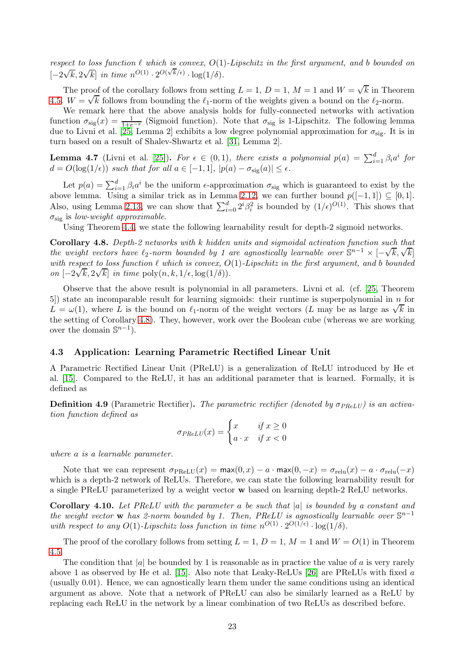respect to loss function  $\ell$  which is convex,  $O(1)$ -Lipschitz in the first argument, and b bounded on  $[-2\sqrt{k}, 2\sqrt{k}]$  in time  $n^{O(1)} \cdot 2^{O(\sqrt{k}/\epsilon)} \cdot \log(1/\delta)$ .

The proof of the corollary follows from setting  $L = 1, D = 1, M = 1$  and  $W = \sqrt{k}$  in Theorem [4.5.](#page-22-0)  $W = \sqrt{k}$  follows from bounding the  $\ell_1$ -norm of the weights given a bound on the  $\ell_2$ -norm.

We remark here that the above analysis holds for fully-connected networks with activation function  $\sigma_{sig}(x) = \frac{1}{1+e^{-x}}$  (Sigmoid function). Note that  $\sigma_{sig}$  is 1-Lipschitz. The following lemma due to Livni et al. [\[25,](#page-30-7) Lemma 2] exhibits a low degree polynomial approximation for  $\sigma_{\rm sig}$ . It is in turn based on a result of Shalev-Shwartz et al. [\[31,](#page-30-5) Lemma 2].

**Lemma 4.7** (Livni et al. [\[25\]](#page-30-7)). For  $\epsilon \in (0,1)$ , there exists a polynomial  $p(a) = \sum_{i=1}^{d} \beta_i a^i$  for  $d = O(\log(1/\epsilon))$  such that for all  $a \in [-1,1]$ ,  $|p(a) - \sigma_{sig}(a)| \leq \epsilon$ .

Let  $p(a) = \sum_{i=1}^{d} \beta_i a^i$  be the uniform  $\epsilon$ -approximation  $\sigma_{\text{sig}}$  which is guaranteed to exist by the above lemma. Using a similar trick as in Lemma [2.12,](#page-9-0) we can further bound  $p([-1, 1]) \subseteq [0, 1]$ . Also, using Lemma [2.13,](#page-9-1) we can show that  $\sum_{i=0}^{d} 2^{i} \beta_i^2$  is bounded by  $(1/\epsilon)^{O(1)}$ . This shows that  $\sigma_{\rm sig}$  is low-weight approximable.

Using Theorem [4.4,](#page-21-5) we state the following learnability result for depth-2 sigmoid networks.

<span id="page-23-1"></span>Corollary 4.8. Depth-2 networks with k hidden units and sigmoidal activation function such that the weight vectors have  $\ell_2$ -norm bounded by 1 are agnostically learnable over  $\mathbb{S}^{n-1} \times [-\sqrt{k}, \sqrt{k}]$ with respect to loss function  $\ell$  which is convex,  $O(1)$ -Lipschitz in the first argument, and b bounded on  $[-2\sqrt{k}, 2\sqrt{k}]$  in time poly $(n, k, 1/\epsilon, \log(1/\delta))$ .

Observe that the above result is polynomial in all parameters. Livni et al. (cf. [\[25,](#page-30-7) Theorem 5]) state an incomparable result for learning sigmoids: their runtime is superpolynomial in n for  $L = \omega(1)$ , where L is the bound on  $\ell_1$ -norm of the weight vectors (L may be as large as  $\sqrt{k}$  in the setting of Corollary [4.8\)](#page-23-1). They, however, work over the Boolean cube (whereas we are working over the domain  $\mathbb{S}^{n-1}$ ).

## <span id="page-23-0"></span>4.3 Application: Learning Parametric Rectified Linear Unit

A Parametric Rectified Linear Unit (PReLU) is a generalization of ReLU introduced by He et al. [\[15\]](#page-29-13). Compared to the ReLU, it has an additional parameter that is learned. Formally, it is defined as

**Definition 4.9** (Parametric Rectifier). The parametric rectifier (denoted by  $\sigma_{PRELU}$ ) is an activation function defined as

$$
\sigma_{PReLU}(x) = \begin{cases} x & \text{if } x \ge 0 \\ a \cdot x & \text{if } x < 0 \end{cases}
$$

where a is a learnable parameter.

Note that we can represent  $\sigma_{\text{PReLU}}(x) = \max(0, x) - a \cdot \max(0, -x) = \sigma_{\text{relu}}(x) - a \cdot \sigma_{\text{relu}}(-x)$ which is a depth-2 network of ReLUs. Therefore, we can state the following learnability result for a single PReLU parameterized by a weight vector w based on learning depth-2 ReLU networks.

**Corollary 4.10.** Let PReLU with the parameter a be such that  $|a|$  is bounded by a constant and the weight vector w has 2-norm bounded by 1. Then, PReLU is agnostically learnable over  $\mathbb{S}^{n-1}$ with respect to any  $O(1)$ -Lipschitz loss function in time  $n^{O(1)} \cdot 2^{O(1/\epsilon)} \cdot \log(1/\delta)$ .

The proof of the corollary follows from setting  $L = 1$ ,  $D = 1$ ,  $M = 1$  and  $W = O(1)$  in Theorem [4.5.](#page-22-0)

The condition that |a| be bounded by 1 is reasonable as in practice the value of a is very rarely above 1 as observed by He et al. [\[15\]](#page-29-13). Also note that Leaky-ReLUs [\[26\]](#page-30-18) are PReLUs with fixed a (usually 0.01). Hence, we can agnostically learn them under the same conditions using an identical argument as above. Note that a network of PReLU can also be similarly learned as a ReLU by replacing each ReLU in the network by a linear combination of two ReLUs as described before.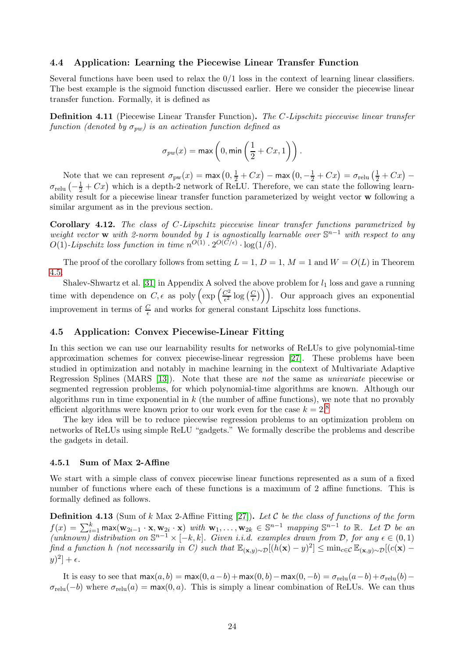### 4.4 Application: Learning the Piecewise Linear Transfer Function

Several functions have been used to relax the  $0/1$  loss in the context of learning linear classifiers. The best example is the sigmoid function discussed earlier. Here we consider the piecewise linear transfer function. Formally, it is defined as

Definition 4.11 (Piecewise Linear Transfer Function). The C-Lipschitz piecewise linear transfer function (denoted by  $\sigma_{nw}$ ) is an activation function defined as

$$
\sigma_{pw}(x) = \max\left(0, \min\left(\frac{1}{2} + Cx, 1\right)\right).
$$

Note that we can represent  $\sigma_{\text{pw}}(x) = \max(0, \frac{1}{2} + Cx) - \max(0, -\frac{1}{2} + Cx) = \sigma_{\text{relu}}(\frac{1}{2} + Cx) \sigma_{\text{relu}}\left(-\frac{1}{2}+Cx\right)$  which is a depth-2 network of ReLU. Therefore, we can state the following learnability result for a piecewise linear transfer function parameterized by weight vector w following a similar argument as in the previous section.

Corollary 4.12. The class of C-Lipschitz piecewise linear transfer functions parametrized by weight vector w with 2-norm bounded by 1 is agnostically learnable over  $\mathbb{S}^{n-1}$  with respect to any  $O(1)$ -Lipschitz loss function in time  $n^{O(1)} \cdot 2^{O(C/\epsilon)} \cdot \log(1/\delta)$ .

The proof of the corollary follows from setting  $L = 1$ ,  $D = 1$ ,  $M = 1$  and  $W = O(L)$  in Theorem [4.5.](#page-22-0)

Shalev-Shwartz et al. [\[31\]](#page-30-5) in Appendix A solved the above problem for  $l_1$  loss and gave a running time with dependence on  $C, \epsilon$  as poly  $\left(\exp\left(\frac{C^2}{\epsilon^2}\right)\right)$  $\frac{C^2}{\epsilon^2}\log\big(\frac{C}{\epsilon}\big)$  $\left(\frac{C}{\epsilon}\right)\bigg)$ . Our approach gives an exponential improvement in terms of  $\frac{C}{\epsilon}$  and works for general constant Lipschitz loss functions.

## <span id="page-24-0"></span>4.5 Application: Convex Piecewise-Linear Fitting

In this section we can use our learnability results for networks of ReLUs to give polynomial-time approximation schemes for convex piecewise-linear regression [\[27\]](#page-30-8). These problems have been studied in optimization and notably in machine learning in the context of Multivariate Adaptive Regression Splines (MARS [\[13\]](#page-29-7)). Note that these are not the same as univariate piecewise or segmented regression problems, for which polynomial-time algorithms are known. Although our algorithms run in time exponential in  $k$  (the number of affine functions), we note that no provably efficient algorithms were known prior to our work even for the case  $k = 2.8$ 

The key idea will be to reduce piecewise regression problems to an optimization problem on networks of ReLUs using simple ReLU "gadgets." We formally describe the problems and describe the gadgets in detail.

#### 4.5.1 Sum of Max 2-Affine

We start with a simple class of convex piecewise linear functions represented as a sum of a fixed number of functions where each of these functions is a maximum of 2 affine functions. This is formally defined as follows.

<span id="page-24-1"></span>**Definition 4.13** (Sum of k Max 2-Affine Fitting [\[27\]](#page-30-8)). Let C be the class of functions of the form  $f(x) = \sum_{i=1}^{k} \max(\mathbf{w}_{2i-1} \cdot \mathbf{x}, \mathbf{w}_{2i} \cdot \mathbf{x})$  with  $\mathbf{w}_1, \ldots, \mathbf{w}_{2k} \in \mathbb{S}^{n-1}$  mapping  $\mathbb{S}^{n-1}$  to  $\mathbb{R}$ . Let  $\mathcal{D}$  be an  $(unknown)$  distribution on  $\mathbb{S}^{n-1}\times[-k,k]$ . Given i.i.d. examples drawn from  $\mathcal{D}$ , for any  $\epsilon\in(0,1)$ find a function h (not necessarily in C) such that  $\mathbb{E}_{(\mathbf{x},y)\sim\mathcal{D}}[(h(\mathbf{x})-y)^2] \leq \min_{c\in\mathcal{C}} \mathbb{E}_{(\mathbf{x},y)\sim\mathcal{D}}[(c(\mathbf{x})-c(\mathbf{x})-d(\mathbf{x})^2)]$  $|y)^2$  +  $\epsilon$ .

It is easy to see that  $\max(a, b) = \max(0, a - b) + \max(0, b) - \max(0, -b) = \sigma_{\text{relu}}(a - b) + \sigma_{\text{relu}}(b) \sigma_{\text{relu}}(-b)$  where  $\sigma_{\text{relu}}(a) = \max(0, a)$ . This is simply a linear combination of ReLUs. We can thus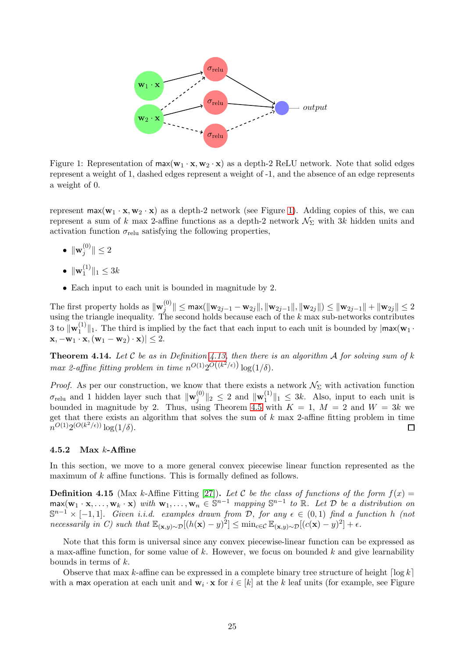

<span id="page-25-0"></span>Figure 1: Representation of  $max(\mathbf{w}_1 \cdot \mathbf{x}, \mathbf{w}_2 \cdot \mathbf{x})$  as a depth-2 ReLU network. Note that solid edges represent a weight of 1, dashed edges represent a weight of -1, and the absence of an edge represents a weight of 0.

represent  $\max(\mathbf{w}_1 \cdot \mathbf{x}, \mathbf{w}_2 \cdot \mathbf{x})$  as a depth-2 network (see Figure [1\)](#page-25-0). Adding copies of this, we can represent a sum of k max 2-affine functions as a depth-2 network  $\mathcal{N}_{\Sigma}$  with 3k hidden units and activation function  $\sigma_{\text{relu}}$  satisfying the following properties,

- $\bullet\;\|\mathbf{w}_j^{(0)}$  $||y^{\text{(U)}}|| \leq 2$
- $\bullet \ \| {\bf w}_1^{(1)}$  $\|1^{(1)}\|_1 \leq 3k$
- Each input to each unit is bounded in magnitude by 2.

The first property holds as  $\Vert \mathbf{w}_{j}^{(0)} \Vert$  $\|y^{(0)}_j\|\leq \max(\|\mathbf{w}_{2j-1}-\mathbf{w}_{2j}\|,\|\mathbf{w}_{2j-1}\|,\|\mathbf{w}_{2j}\|)\leq \|\mathbf{w}_{2j-1}\|+\|\mathbf{w}_{2j}\|\leq 2$ using the triangle inequality. The second holds because each of the  $k$  max sub-networks contributes 3 to  $\|\mathbf{w}_1^{(1)}\|$  $\|f_1^{(1)}\|_1$ . The third is implied by the fact that each input to each unit is bounded by  $|\max(\mathbf{w}_1 \cdot)$  $|\mathbf{x}, -\mathbf{w}_1 \cdot \mathbf{x}, (\mathbf{w}_1 - \mathbf{w}_2) \cdot \mathbf{x}| \leq 2.$ 

**Theorem 4.14.** Let C be as in Definition [4.13,](#page-24-1) then there is an algorithm A for solving sum of k max 2-affine fitting problem in time  $n^{O(1)}2^{O((k^2/\epsilon))}\log(1/\delta)$ .

*Proof.* As per our construction, we know that there exists a network  $\mathcal{N}_{\Sigma}$  with activation function  $\sigma_{\text{relu}}$  and 1 hidden layer such that  $\|\mathbf{w}_{j}^{(0)}\|$  $\|u\|_2 \leq 2$  and  $\|\mathbf{w}_1^{(1)}\|_2$  $\|f_1\|^2 \|_1 \leq 3k$ . Also, input to each unit is bounded in magnitude by 2. Thus, using Theorem [4.5](#page-22-0) with  $K = 1, M = 2$  and  $W = 3k$  we get that there exists an algorithm that solves the sum of  $k$  max 2-affine fitting problem in time  $n^{O(1)}2^{(O(k^2/\epsilon))}\log(1/\delta).$  $\Box$ 

#### 4.5.2 Max  $k$ -Affine

In this section, we move to a more general convex piecewise linear function represented as the maximum of k affine functions. This is formally defined as follows.

<span id="page-25-1"></span>**Definition 4.15** (Max k-Affine Fitting [\[27\]](#page-30-8)). Let C be the class of functions of the form  $f(x) =$  $\max(\mathbf{w}_1 \cdot \mathbf{x}, \dots, \mathbf{w}_k \cdot \mathbf{x})$  with  $\mathbf{w}_1, \dots, \mathbf{w}_n \in \mathbb{S}^{n-1}$  mapping  $\mathbb{S}^{n-1}$  to  $\mathbb{R}$ . Let  $\mathcal{D}$  be a distribution on  $\mathbb{S}^{n-1} \times [-1,1]$ . Given i.i.d. examples drawn from D, for any  $\epsilon \in (0,1)$  find a function h (not necessarily in C) such that  $\mathbb{E}_{(\mathbf{x},y)\sim\mathcal{D}}[(h(\mathbf{x})-y)^2] \leq \min_{c\in\mathcal{C}} \mathbb{E}_{(\mathbf{x},y)\sim\mathcal{D}}[(c(\mathbf{x})-y)^2] + \epsilon$ .

Note that this form is universal since any convex piecewise-linear function can be expressed as a max-affine function, for some value of  $k$ . However, we focus on bounded  $k$  and give learnability bounds in terms of k.

Observe that max k-affine can be expressed in a complete binary tree structure of height  $\lceil \log k \rceil$ with a max operation at each unit and  $\mathbf{w}_i \cdot \mathbf{x}$  for  $i \in [k]$  at the k leaf units (for example, see Figure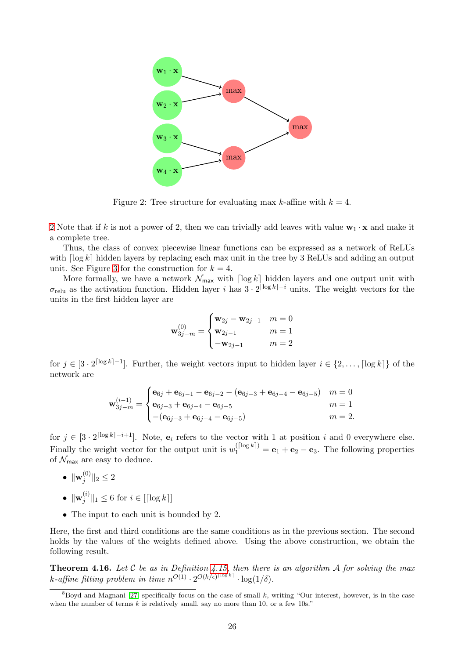

<span id="page-26-0"></span>Figure 2: Tree structure for evaluating max k-affine with  $k = 4$ .

[2](#page-26-0) Note that if k is not a power of 2, then we can trivially add leaves with value  $w_1 \cdot x$  and make it a complete tree.

Thus, the class of convex piecewise linear functions can be expressed as a network of ReLUs with  $\lceil \log k \rceil$  hidden layers by replacing each max unit in the tree by 3 ReLUs and adding an output unit. See Figure [3](#page-27-0) for the construction for  $k = 4$ .

More formally, we have a network  $\mathcal{N}_{\text{max}}$  with  $\lceil \log k \rceil$  hidden layers and one output unit with  $\sigma_{\text{relu}}$  as the activation function. Hidden layer i has  $3 \cdot 2^{\lceil \log k \rceil - i}$  units. The weight vectors for the units in the first hidden layer are

$$
\mathbf{w}_{3j-m}^{(0)} = \begin{cases} \mathbf{w}_{2j} - \mathbf{w}_{2j-1} & m = 0\\ \mathbf{w}_{2j-1} & m = 1\\ -\mathbf{w}_{2j-1} & m = 2 \end{cases}
$$

for  $j \in [3 \cdot 2^{\lceil \log k \rceil - 1}]$ . Further, the weight vectors input to hidden layer  $i \in \{2, \ldots, \lceil \log k \rceil\}$  of the network are

$$
\mathbf{w}_{3j-m}^{(i-1)} = \begin{cases} \mathbf{e}_{6j} + \mathbf{e}_{6j-1} - \mathbf{e}_{6j-2} - (\mathbf{e}_{6j-3} + \mathbf{e}_{6j-4} - \mathbf{e}_{6j-5}) & m = 0\\ \mathbf{e}_{6j-3} + \mathbf{e}_{6j-4} - \mathbf{e}_{6j-5} & m = 1\\ -(\mathbf{e}_{6j-3} + \mathbf{e}_{6j-4} - \mathbf{e}_{6j-5}) & m = 2. \end{cases}
$$

for  $j \in [3 \cdot 2^{\lceil \log k \rceil - i + 1}]$ . Note,  $\mathbf{e}_i$  refers to the vector with 1 at position i and 0 everywhere else. Finally the weight vector for the output unit is  $w_1^{(\lfloor \log k \rfloor)} = \mathbf{e}_1 + \mathbf{e}_2 - \mathbf{e}_3$ . The following properties of  $\mathcal{N}_{\text{max}}$  are easy to deduce.

- $\bullet\;\|\mathbf{w}_j^{(0)}$  $||y^{(0)}||_2 \leq 2$
- $\bullet\;\|\mathbf{w}_j^{(i)}\>$  $\int_{j}^{(i)} \|_1 \leq 6$  for  $i \in [\lceil \log k \rceil]$
- The input to each unit is bounded by 2.

Here, the first and third conditions are the same conditions as in the previous section. The second holds by the values of the weights defined above. Using the above construction, we obtain the following result.

**Theorem 4.16.** Let C be as in Definition [4.15,](#page-25-1) then there is an algorithm A for solving the max k-affine fitting problem in time  $n^{O(1)} \cdot 2^{O(k/\epsilon)^{\lceil \log k \rceil}} \cdot \log(1/\delta)$ .

 $8B$ oyd and Magnani [\[27\]](#page-30-8) specifically focus on the case of small k, writing "Our interest, however, is in the case when the number of terms  $k$  is relatively small, say no more than 10, or a few 10s."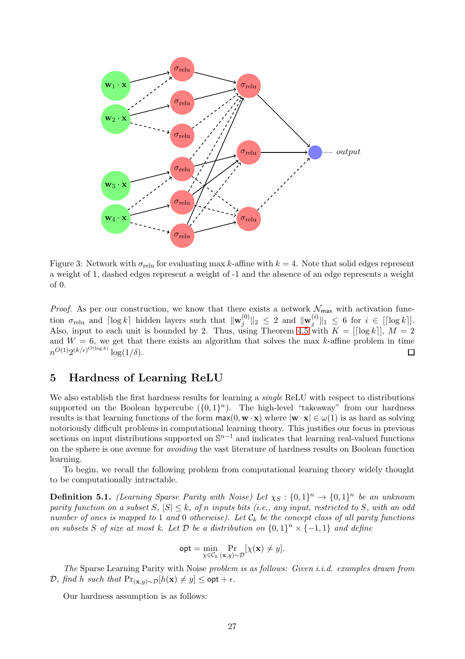

<span id="page-27-0"></span>Figure 3: Network with  $\sigma_{\text{relu}}$  for evaluating max k-affine with  $k = 4$ . Note that solid edges represent a weight of 1, dashed edges represent a weight of -1 and the absence of an edge represents a weight of 0.

*Proof.* As per our construction, we know that there exists a network  $\mathcal{N}_{\text{max}}$  with activation function  $\sigma_{\text{relu}}$  and  $\lceil \log k \rceil$  hidden layers such that  $\|\mathbf{w}_{j}^{(0)}\|$  $\Vert \begin{matrix} \hat{u}^{(0)} \end{matrix} \Vert_2 \ \leq \ 2 \ \ \text{and} \ \ \Vert \mathbf{w}^{(i)}_j$  $\|f_{j}^{(i)}\|_{1} \leq 6$  for  $i \in [[\log k]].$ Also, input to each unit is bounded by 2. Thus, using Theorem [4.5](#page-22-0) with  $K = [[\log k]], M = 2$ and  $W = 6$ , we get that there exists an algorithm that solves the max k-affine problem in time  $n^{O(1)}2^{(k/\epsilon)^{O(\log k)}}\log(1/\delta).$ □

## 5 Hardness of Learning ReLU

We also establish the first hardness results for learning a *single* ReLU with respect to distributions supported on the Boolean hypercube  $({0,1}^n)$ . The high-level "takeaway" from our hardness results is that learning functions of the form  $\max(0, \mathbf{w} \cdot \mathbf{x})$  where  $|\mathbf{w} \cdot \mathbf{x}| \in \omega(1)$  is as hard as solving notoriously difficult problems in computational learning theory. This justifies our focus in previous sections on input distributions supported on  $\mathbb{S}^{n-1}$  and indicates that learning real-valued functions on the sphere is one avenue for avoiding the vast literature of hardness results on Boolean function learning.

To begin, we recall the following problem from computational learning theory widely thought to be computationally intractable.

**Definition 5.1.** (Learning Sparse Parity with Noise) Let  $\chi_S: \{0,1\}^n \to \{0,1\}^n$  be an unknown parity function on a subset S,  $|S| \leq k$ , of n inputs bits (i.e., any input, restricted to S, with an odd number of ones is mapped to 1 and 0 otherwise). Let  $\mathcal{C}_k$  be the concept class of all parity functions on subsets S of size at most k. Let  $D$  be a distribution on  $\{0,1\}^n \times \{-1,1\}$  and define

$$
\mathsf{opt} = \min_{\chi \in \mathcal{C}_k} \Pr_{(\mathbf{x}, y) \sim \mathcal{D}} [\chi(\mathbf{x}) \neq y].
$$

The Sparse Learning Parity with Noise problem is as follows: Given i.i.d. examples drawn from  $\mathcal{D},$  find h such that Pr<sub>(x,y)∼</sub> $D[h(x) \neq y]$  ≤ opt +  $\epsilon$ .

Our hardness assumption is as follows: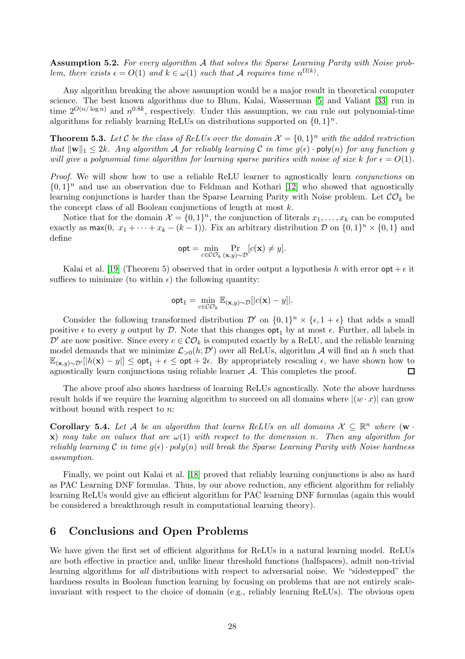Assumption 5.2. For every algorithm A that solves the Sparse Learning Parity with Noise problem, there exists  $\epsilon = O(1)$  and  $k \in \omega(1)$  such that A requires time  $n^{\Omega(k)}$ .

Any algorithm breaking the above assumption would be a major result in theoretical computer science. The best known algorithms due to Blum, Kalai, Wasserman [\[5\]](#page-29-14) and Valiant [\[33\]](#page-30-19) run in time  $2^{O(n/\log n)}$  and  $n^{0.8k}$ , respectively. Under this assumption, we can rule out polynomial-time algorithms for reliably learning ReLUs on distributions supported on  $\{0, 1\}^n$ .

**Theorem 5.3.** Let C be the class of ReLUs over the domain  $\mathcal{X} = \{0,1\}^n$  with the added restriction that  $\|\mathbf{w}\|_1 \leq 2k$ . Any algorithm A for reliably learning C in time  $g(\epsilon)$  · poly(n) for any function g will give a polynomial time algorithm for learning sparse parities with noise of size k for  $\epsilon = O(1)$ .

Proof. We will show how to use a reliable ReLU learner to agnostically learn *conjunctions* on  $\{0,1\}^n$  and use an observation due to Feldman and Kothari [\[12\]](#page-29-15) who showed that agnostically learning conjunctions is harder than the Sparse Learning Parity with Noise problem. Let  $\mathcal{CO}_k$  be the concept class of all Boolean conjunctions of length at most  $k$ .

Notice that for the domain  $\mathcal{X} = \{0, 1\}^n$ , the conjunction of literals  $x_1, \ldots, x_k$  can be computed exactly as  $\max(0, x_1 + \cdots + x_k - (k-1))$ . Fix an arbitrary distribution  $\mathcal{D}$  on  $\{0,1\}^n \times \{0,1\}$  and define

$$
\mathsf{opt} = \min_{c \in \mathcal{CO}_k} \Pr_{(\mathbf{x}, y) \sim \mathcal{D}}[c(\mathbf{x}) \neq y].
$$

Kalai et al. [\[19\]](#page-30-3) (Theorem 5) observed that in order output a hypothesis h with error  $opt + \epsilon$  it suffices to minimize (to within  $\epsilon$ ) the following quantity:

$$
\mathsf{opt}_1 = \min_{c \in \mathcal{CO}_k} \mathbb{E}_{(\mathbf{x}, y) \sim \mathcal{D}}[|c(\mathbf{x}) - y]|.
$$

Consider the following transformed distribution  $\mathcal{D}'$  on  $\{0,1\}^n \times \{\epsilon,1+\epsilon\}$  that adds a small positive  $\epsilon$  to every y output by  $\mathcal{D}$ . Note that this changes  $\mathsf{opt}_1$  by at most  $\epsilon$ . Further, all labels in  $\mathcal{D}'$  are now positive. Since every  $c \in \mathcal{CO}_k$  is computed exactly by a ReLU, and the reliable learning model demands that we minimize  $\mathcal{L}_{>0}(h; \mathcal{D}')$  over all ReLUs, algorithm A will find an h such that  $\mathbb{E}_{(\mathbf{x},y)\sim\mathcal{D}'}[|h(\mathbf{x}) - y|] \leq \mathsf{opt}_1 + \epsilon \leq \mathsf{opt} + 2\epsilon$ . By appropriately rescaling  $\epsilon$ , we have shown how to agnostically learn conjunctions using reliable learner *A*. This completes the proof. □ agnostically learn conjunctions using reliable learner A. This completes the proof.

The above proof also shows hardness of learning ReLUs agnostically. Note the above hardness result holds if we require the learning algorithm to succeed on all domains where  $|(w \cdot x)|$  can grow without bound with respect to *n*:

Corollary 5.4. Let A be an algorithm that learns ReLUs on all domains  $X \subseteq \mathbb{R}^n$  where  $(\mathbf{w} \cdot$ x) may take on values that are  $\omega(1)$  with respect to the dimension n. Then any algorithm for reliably learning C in time  $g(\epsilon) \cdot poly(n)$  will break the Sparse Learning Parity with Noise hardness assumption.

Finally, we point out Kalai et al. [\[18\]](#page-30-0) proved that reliably learning conjunctions is also as hard as PAC Learning DNF formulas. Thus, by our above reduction, any efficient algorithm for reliably learning ReLUs would give an efficient algorithm for PAC learning DNF formulas (again this would be considered a breakthrough result in computational learning theory).

## 6 Conclusions and Open Problems

We have given the first set of efficient algorithms for ReLUs in a natural learning model. ReLUs are both effective in practice and, unlike linear threshold functions (halfspaces), admit non-trivial learning algorithms for all distributions with respect to adversarial noise. We "sidestepped" the hardness results in Boolean function learning by focusing on problems that are not entirely scaleinvariant with respect to the choice of domain (e.g., reliably learning ReLUs). The obvious open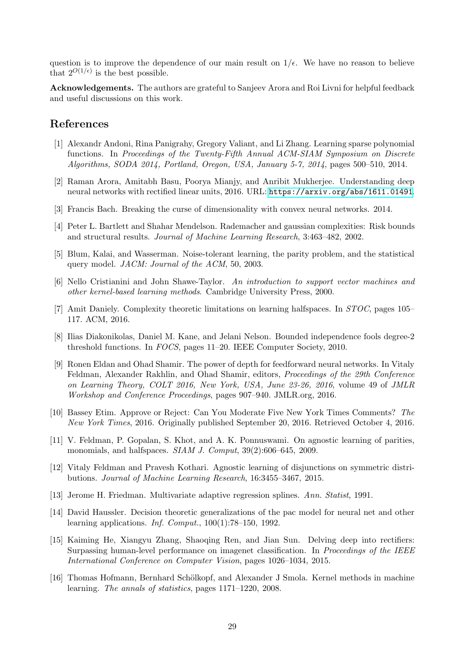question is to improve the dependence of our main result on  $1/\epsilon$ . We have no reason to believe that  $2^{O(1/\epsilon)}$  is the best possible.

Acknowledgements. The authors are grateful to Sanjeev Arora and Roi Livni for helpful feedback and useful discussions on this work.

## <span id="page-29-6"></span>References

- [1] Alexandr Andoni, Rina Panigrahy, Gregory Valiant, and Li Zhang. Learning sparse polynomial functions. In Proceedings of the Twenty-Fifth Annual ACM-SIAM Symposium on Discrete Algorithms, SODA 2014, Portland, Oregon, USA, January 5-7, 2014, pages 500–510, 2014.
- <span id="page-29-8"></span><span id="page-29-2"></span>[2] Raman Arora, Amitabh Basu, Poorya Mianjy, and Anribit Mukherjee. Understanding deep neural networks with rectified linear units, 2016. URL: <https://arxiv.org/abs/1611.01491>.
- <span id="page-29-11"></span>[3] Francis Bach. Breaking the curse of dimensionality with convex neural networks. 2014.
- <span id="page-29-14"></span>[4] Peter L. Bartlett and Shahar Mendelson. Rademacher and gaussian complexities: Risk bounds and structural results. Journal of Machine Learning Research, 3:463–482, 2002.
- <span id="page-29-12"></span>[5] Blum, Kalai, and Wasserman. Noise-tolerant learning, the parity problem, and the statistical query model. JACM: Journal of the ACM, 50, 2003.
- <span id="page-29-0"></span>[6] Nello Cristianini and John Shawe-Taylor. An introduction to support vector machines and other kernel-based learning methods. Cambridge University Press, 2000.
- <span id="page-29-4"></span>[7] Amit Daniely. Complexity theoretic limitations on learning halfspaces. In STOC, pages 105– 117. ACM, 2016.
- <span id="page-29-5"></span>[8] Ilias Diakonikolas, Daniel M. Kane, and Jelani Nelson. Bounded independence fools degree-2 threshold functions. In FOCS, pages 11–20. IEEE Computer Society, 2010.
- [9] Ronen Eldan and Ohad Shamir. The power of depth for feedforward neural networks. In Vitaly Feldman, Alexander Rakhlin, and Ohad Shamir, editors, Proceedings of the 29th Conference on Learning Theory, COLT 2016, New York, USA, June 23-26, 2016, volume 49 of JMLR Workshop and Conference Proceedings, pages 907–940. JMLR.org, 2016.
- <span id="page-29-3"></span>[10] Bassey Etim. Approve or Reject: Can You Moderate Five New York Times Comments? The New York Times, 2016. Originally published September 20, 2016. Retrieved October 4, 2016.
- <span id="page-29-1"></span>[11] V. Feldman, P. Gopalan, S. Khot, and A. K. Ponnuswami. On agnostic learning of parities, monomials, and halfspaces. SIAM J. Comput, 39(2):606–645, 2009.
- <span id="page-29-15"></span>[12] Vitaly Feldman and Pravesh Kothari. Agnostic learning of disjunctions on symmetric distributions. Journal of Machine Learning Research, 16:3455–3467, 2015.
- <span id="page-29-9"></span><span id="page-29-7"></span>[13] Jerome H. Friedman. Multivariate adaptive regression splines. Ann. Statist, 1991.
- [14] David Haussler. Decision theoretic generalizations of the pac model for neural net and other learning applications. Inf. Comput., 100(1):78–150, 1992.
- <span id="page-29-13"></span>[15] Kaiming He, Xiangyu Zhang, Shaoqing Ren, and Jian Sun. Delving deep into rectifiers: Surpassing human-level performance on imagenet classification. In Proceedings of the IEEE International Conference on Computer Vision, pages 1026–1034, 2015.
- <span id="page-29-10"></span>[16] Thomas Hofmann, Bernhard Schölkopf, and Alexander J Smola. Kernel methods in machine learning. The annals of statistics, pages 1171–1220, 2008.